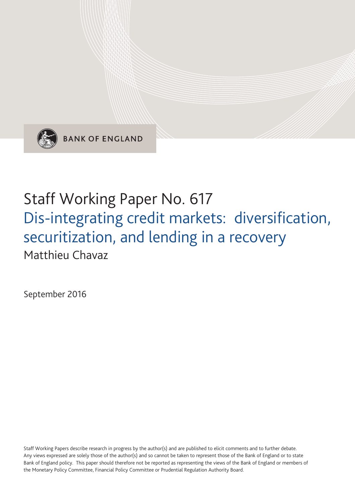

**BANK OF ENGLAND** 

# Staff Working Paper No. 617 Dis-integrating credit markets: diversification, securitization, and lending in a recovery Matthieu Chavaz

September 2016

Staff Working Papers describe research in progress by the author(s) and are published to elicit comments and to further debate. Any views expressed are solely those of the author(s) and so cannot be taken to represent those of the Bank of England or to state Bank of England policy. This paper should therefore not be reported as representing the views of the Bank of England or members of the Monetary Policy Committee, Financial Policy Committee or Prudential Regulation Authority Board.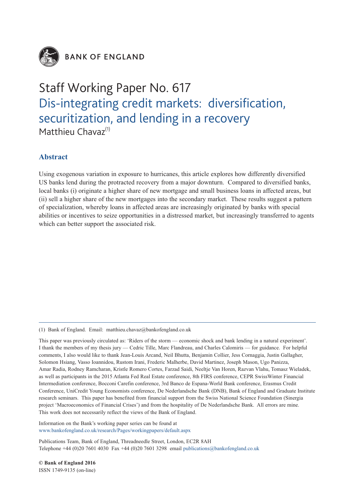

**BANK OF ENGLAND** 

## Staff Working Paper No. 617 Dis-integrating credit markets: diversification, securitization, and lending in a recovery Matthieu Chavaz<sup>(1)</sup>

## **Abstract**

Using exogenous variation in exposure to hurricanes, this article explores how differently diversified US banks lend during the protracted recovery from a major downturn. Compared to diversified banks, local banks (i) originate a higher share of new mortgage and small business loans in affected areas, but (ii) sell a higher share of the new mortgages into the secondary market. These results suggest a pattern of specialization, whereby loans in affected areas are increasingly originated by banks with special abilities or incentives to seize opportunities in a distressed market, but increasingly transferred to agents which can better support the associated risk.

(1) Bank of England. Email: matthieu.chavaz@bankofengland.co.uk

This paper was previously circulated as: 'Riders of the storm — economic shock and bank lending in a natural experiment'. I thank the members of my thesis jury — Cedric Tille, Marc Flandreau, and Charles Calomiris — for guidance. For helpful comments, I also would like to thank Jean-Louis Arcand, Neil Bhutta, Benjamin Collier, Jess Cornaggia, Justin Gallagher, Solomon Hsiang, Vasso Ioannidou, Rustom Irani, Frederic Malherbe, David Martinez, Joseph Mason, Ugo Panizza, Amar Radia, Rodney Ramcharan, Kristle Romero Cortes, Farzad Saidi, Neeltje Van Horen, Razvan Vlahu, Tomasz Wieladek, as well as participants in the 2015 Atlanta Fed Real Estate conference, 8th FIRS conference, CEPR SwissWinter Financial Intermediation conference, Bocconi Carefin conference, 3rd Banco de Espana-World Bank conference, Erasmus Credit Conference, UniCredit Young Economists conference, De Nederlandsche Bank (DNB), Bank of England and Graduate Institute research seminars. This paper has benefited from financial support from the Swiss National Science Foundation (Sinergia project 'Macroeconomics of Financial Crises') and from the hospitality of De Nederlandsche Bank. All errors are mine. This work does not necessarily reflect the views of the Bank of England.

Information on the Bank's working paper series can be found at www.bankofengland.co.uk/research/Pages/workingpapers/default.aspx

Publications Team, Bank of England, Threadneedle Street, London, EC2R 8AH Telephone  $+44$  (0)20 7601 4030 Fax  $+44$  (0)20 7601 3298 email publications @bankofengland.co.uk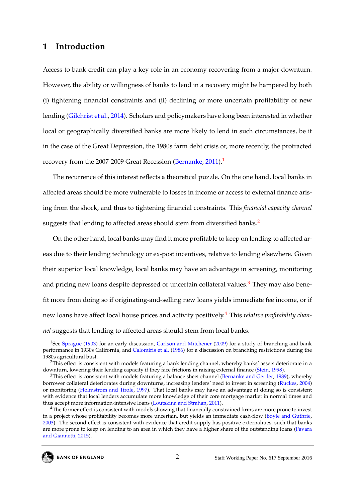## **1 Introduction**

Access to bank credit can play a key role in an economy recovering from a major downturn. However, the ability or willingness of banks to lend in a recovery might be hampered by both (i) tightening financial constraints and (ii) declining or more uncertain profitability of new lending [\(Gilchrist et al.,](#page-34-0) [2014\)](#page-34-0). Scholars and policymakers have long been interested in whether local or geographically diversified banks are more likely to lend in such circumstances, be it in the case of the Great Depression, the 1980s farm debt crisis or, more recently, the protracted recovery from the 2007-2009 Great Recession [\(Bernanke,](#page-32-0) [2011\)](#page-32-0).<sup>[1](#page--1-0)</sup>

The recurrence of this interest reflects a theoretical puzzle. On the one hand, local banks in affected areas should be more vulnerable to losses in income or access to external finance arising from the shock, and thus to tightening financial constraints. This *financial capacity channel* suggests that lending to affected areas should stem from diversified banks.<sup>[2](#page--1-0)</sup>

On the other hand, local banks may find it more profitable to keep on lending to affected areas due to their lending technology or ex-post incentives, relative to lending elsewhere. Given their superior local knowledge, local banks may have an advantage in screening, monitoring and pricing new loans despite depressed or uncertain collateral values. $<sup>3</sup>$  $<sup>3</sup>$  $<sup>3</sup>$  They may also bene-</sup> fit more from doing so if originating-and-selling new loans yields immediate fee income, or if new loans have affect local house prices and activity positively.[4](#page--1-0) This *relative profitability channel* suggests that lending to affected areas should stem from local banks.

<sup>&</sup>lt;sup>1</sup>See [Sprague](#page-37-0) [\(1903\)](#page-37-0) for an early discussion, [Carlson and Mitchener](#page-33-0) [\(2009\)](#page-33-0) for a study of branching and bank performance in 1930s California, and [Calomiris et al.](#page-33-1) [\(1986\)](#page-33-1) for a discussion on branching restrictions during the 1980s agricultural bust.

<sup>&</sup>lt;sup>2</sup>This effect is consistent with models featuring a bank lending channel, whereby banks' assets deteriorate in a downturn, lowering their lending capacity if they face frictions in raising external finance [\(Stein,](#page-37-1) [1998\)](#page-37-1).

<sup>&</sup>lt;sup>3</sup>This effect is consistent with models featuring a balance sheet channel [\(Bernanke and Gertler,](#page-32-1) [1989\)](#page-32-1), whereby borrower collateral deteriorates during downturns, increasing lenders' need to invest in screening [\(Ruckes,](#page-37-2) [2004\)](#page-37-2) or monitoring [\(Holmstrom and Tirole,](#page-35-0) [1997\)](#page-35-0). That local banks may have an advantage at doing so is consistent with evidence that local lenders accumulate more knowledge of their core mortgage market in normal times and thus accept more information-intensive loans [\(Loutskina and Strahan,](#page-35-1) [2011\)](#page-35-1).

<sup>&</sup>lt;sup>4</sup>The former effect is consistent with models showing that financially constrained firms are more prone to invest in a project whose profitability becomes more uncertain, but yields an immediate cash-flow [\(Boyle and Guthrie,](#page-32-2) [2003\)](#page-32-2). The second effect is consistent with evidence that credit supply has positive externalities, such that banks are more prone to keep on lending to an area in which they have a higher share of the outstanding loans [\(Favara](#page-34-1) [and Giannetti,](#page-34-1) [2015\)](#page-34-1).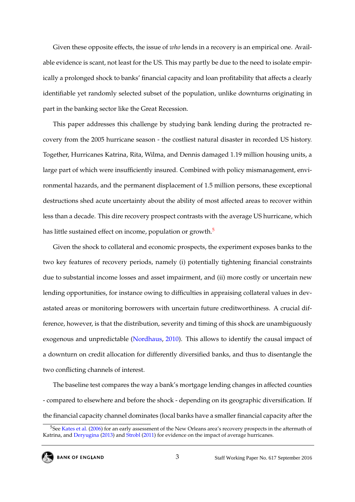Given these opposite effects, the issue of *who* lends in a recovery is an empirical one. Available evidence is scant, not least for the US. This may partly be due to the need to isolate empirically a prolonged shock to banks' financial capacity and loan profitability that affects a clearly identifiable yet randomly selected subset of the population, unlike downturns originating in part in the banking sector like the Great Recession.

This paper addresses this challenge by studying bank lending during the protracted recovery from the 2005 hurricane season - the costliest natural disaster in recorded US history. Together, Hurricanes Katrina, Rita, Wilma, and Dennis damaged 1.19 million housing units, a large part of which were insufficiently insured. Combined with policy mismanagement, environmental hazards, and the permanent displacement of 1.5 million persons, these exceptional destructions shed acute uncertainty about the ability of most affected areas to recover within less than a decade. This dire recovery prospect contrasts with the average US hurricane, which has little sustained effect on income, population or growth.<sup>[5](#page--1-0)</sup>

Given the shock to collateral and economic prospects, the experiment exposes banks to the two key features of recovery periods, namely (i) potentially tightening financial constraints due to substantial income losses and asset impairment, and (ii) more costly or uncertain new lending opportunities, for instance owing to difficulties in appraising collateral values in devastated areas or monitoring borrowers with uncertain future creditworthiness. A crucial difference, however, is that the distribution, severity and timing of this shock are unambiguously exogenous and unpredictable [\(Nordhaus,](#page-36-0) [2010\)](#page-36-0). This allows to identify the causal impact of a downturn on credit allocation for differently diversified banks, and thus to disentangle the two conflicting channels of interest.

The baseline test compares the way a bank's mortgage lending changes in affected counties - compared to elsewhere and before the shock - depending on its geographic diversification. If the financial capacity channel dominates (local banks have a smaller financial capacity after the

<sup>&</sup>lt;sup>5</sup>See [Kates et al.](#page-35-2) [\(2006\)](#page-35-2) for an early assessment of the New Orleans area's recovery prospects in the aftermath of Katrina, and [Deryugina](#page-33-2) [\(2013\)](#page-33-2) and [Strobl](#page-37-3) [\(2011\)](#page-37-3) for evidence on the impact of average hurricanes.

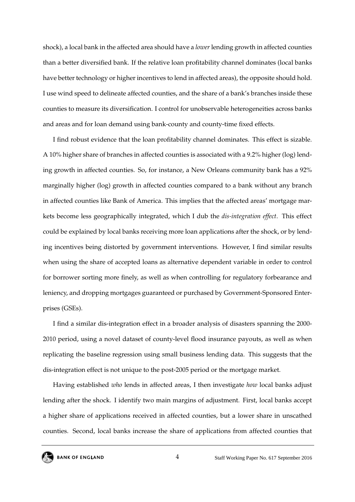shock), a local bank in the affected area should have a *lower* lending growth in affected counties than a better diversified bank. If the relative loan profitability channel dominates (local banks have better technology or higher incentives to lend in affected areas), the opposite should hold. I use wind speed to delineate affected counties, and the share of a bank's branches inside these counties to measure its diversification. I control for unobservable heterogeneities across banks and areas and for loan demand using bank-county and county-time fixed effects.

I find robust evidence that the loan profitability channel dominates. This effect is sizable. A 10% higher share of branches in affected counties is associated with a 9.2% higher (log) lending growth in affected counties. So, for instance, a New Orleans community bank has a 92% marginally higher (log) growth in affected counties compared to a bank without any branch in affected counties like Bank of America. This implies that the affected areas' mortgage markets become less geographically integrated, which I dub the *dis-integration effect*. This effect could be explained by local banks receiving more loan applications after the shock, or by lending incentives being distorted by government interventions. However, I find similar results when using the share of accepted loans as alternative dependent variable in order to control for borrower sorting more finely, as well as when controlling for regulatory forbearance and leniency, and dropping mortgages guaranteed or purchased by Government-Sponsored Enterprises (GSEs).

I find a similar dis-integration effect in a broader analysis of disasters spanning the 2000- 2010 period, using a novel dataset of county-level flood insurance payouts, as well as when replicating the baseline regression using small business lending data. This suggests that the dis-integration effect is not unique to the post-2005 period or the mortgage market.

Having established *who* lends in affected areas, I then investigate *how* local banks adjust lending after the shock. I identify two main margins of adjustment. First, local banks accept a higher share of applications received in affected counties, but a lower share in unscathed counties. Second, local banks increase the share of applications from affected counties that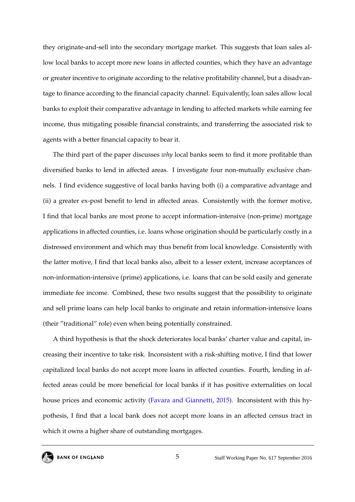they originate-and-sell into the secondary mortgage market. This suggests that loan sales allow local banks to accept more new loans in affected counties, which they have an advantage or greater incentive to originate according to the relative profitability channel, but a disadvantage to finance according to the financial capacity channel. Equivalently, loan sales allow local banks to exploit their comparative advantage in lending to affected markets while earning fee income, thus mitigating possible financial constraints, and transferring the associated risk to agents with a better financial capacity to bear it.

The third part of the paper discusses *why* local banks seem to find it more profitable than diversified banks to lend in affected areas. I investigate four non-mutually exclusive channels. I find evidence suggestive of local banks having both (i) a comparative advantage and (ii) a greater ex-post benefit to lend in affected areas. Consistently with the former motive, I find that local banks are most prone to accept information-intensive (non-prime) mortgage applications in affected counties, i.e. loans whose origination should be particularly costly in a distressed environment and which may thus benefit from local knowledge. Consistently with the latter motive, I find that local banks also, albeit to a lesser extent, increase acceptances of non-information-intensive (prime) applications, i.e. loans that can be sold easily and generate immediate fee income. Combined, these two results suggest that the possibility to originate and sell prime loans can help local banks to originate and retain information-intensive loans (their "traditional" role) even when being potentially constrained.

A third hypothesis is that the shock deteriorates local banks' charter value and capital, increasing their incentive to take risk. Inconsistent with a risk-shifting motive, I find that lower capitalized local banks do not accept more loans in affected counties. Fourth, lending in affected areas could be more beneficial for local banks if it has positive externalities on local house prices and economic activity [\(Favara and Giannetti,](#page-34-1) [2015\)](#page-34-1). Inconsistent with this hypothesis, I find that a local bank does not accept more loans in an affected census tract in which it owns a higher share of outstanding mortgages.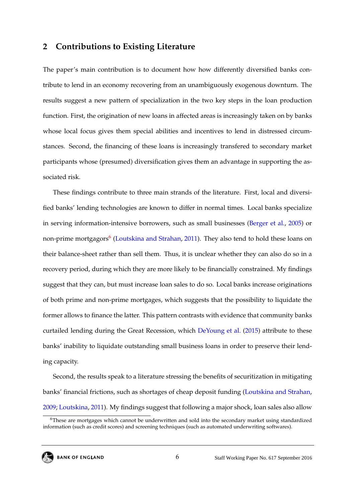#### **2 Contributions to Existing Literature**

The paper's main contribution is to document how how differently diversified banks contribute to lend in an economy recovering from an unambiguously exogenous downturn. The results suggest a new pattern of specialization in the two key steps in the loan production function. First, the origination of new loans in affected areas is increasingly taken on by banks whose local focus gives them special abilities and incentives to lend in distressed circumstances. Second, the financing of these loans is increasingly transfered to secondary market participants whose (presumed) diversification gives them an advantage in supporting the associated risk.

These findings contribute to three main strands of the literature. First, local and diversified banks' lending technologies are known to differ in normal times. Local banks specialize in serving information-intensive borrowers, such as small businesses [\(Berger et al.,](#page-32-3) [2005\)](#page-32-3) or non-prime mortgagors<sup>[6](#page--1-0)</sup> [\(Loutskina and Strahan,](#page-35-1) [2011\)](#page-35-1). They also tend to hold these loans on their balance-sheet rather than sell them. Thus, it is unclear whether they can also do so in a recovery period, during which they are more likely to be financially constrained. My findings suggest that they can, but must increase loan sales to do so. Local banks increase originations of both prime and non-prime mortgages, which suggests that the possibility to liquidate the former allows to finance the latter. This pattern contrasts with evidence that community banks curtailed lending during the Great Recession, which [DeYoung et al.](#page-33-3) [\(2015\)](#page-33-3) attribute to these banks' inability to liquidate outstanding small business loans in order to preserve their lending capacity.

Second, the results speak to a literature stressing the benefits of securitization in mitigating banks' financial frictions, such as shortages of cheap deposit funding [\(Loutskina and Strahan,](#page-36-1) [2009;](#page-36-1) [Loutskina,](#page-35-3) [2011\)](#page-35-3). My findings suggest that following a major shock, loan sales also allow

<sup>6</sup>These are mortgages which cannot be underwritten and sold into the secondary market using standardized information (such as credit scores) and screening techniques (such as automated underwriting softwares).

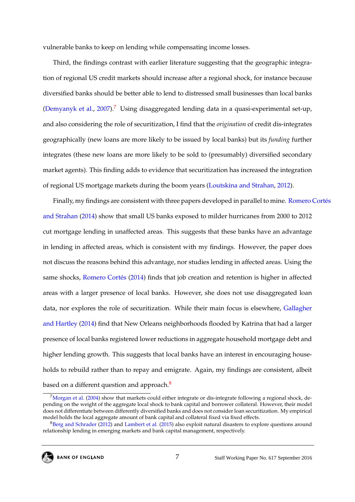vulnerable banks to keep on lending while compensating income losses.

Third, the findings contrast with earlier literature suggesting that the geographic integration of regional US credit markets should increase after a regional shock, for instance because diversified banks should be better able to lend to distressed small businesses than local banks [\(Demyanyk et al.,](#page-33-4)  $2007$  $2007$ ).<sup>7</sup> Using disaggregated lending data in a quasi-experimental set-up, and also considering the role of securitization, I find that the *origination* of credit dis-integrates geographically (new loans are more likely to be issued by local banks) but its *funding* further integrates (these new loans are more likely to be sold to (presumably) diversified secondary market agents). This finding adds to evidence that securitization has increased the integration of regional US mortgage markets during the boom years [\(Loutskina and Strahan,](#page-35-4) [2012\)](#page-35-4).

Finally, my findings are consistent with three papers developed in parallel to mine. [Romero C](#page-37-4)ortés [and Strahan](#page-37-4) [\(2014\)](#page-37-4) show that small US banks exposed to milder hurricanes from 2000 to 2012 cut mortgage lending in unaffected areas. This suggests that these banks have an advantage in lending in affected areas, which is consistent with my findings. However, the paper does not discuss the reasons behind this advantage, nor studies lending in affected areas. Using the same shocks, Romero Cortés [\(2014\)](#page-37-5) finds that job creation and retention is higher in affected areas with a larger presence of local banks. However, she does not use disaggregated loan data, nor explores the role of securitization. While their main focus is elsewhere, [Gallagher](#page-34-2) [and Hartley](#page-34-2) [\(2014\)](#page-34-2) find that New Orleans neighborhoods flooded by Katrina that had a larger presence of local banks registered lower reductions in aggregate household mortgage debt and higher lending growth. This suggests that local banks have an interest in encouraging households to rebuild rather than to repay and emigrate. Again, my findings are consistent, albeit based on a different question and approach.<sup>[8](#page--1-0)</sup>

 $7$ [Morgan et al.](#page-36-2) [\(2004\)](#page-36-2) show that markets could either integrate or dis-integrate following a regional shock, depending on the weight of the aggregate local shock to bank capital and borrower collateral. However, their model does not differentiate between differently diversified banks and does not consider loan securitization. My empirical model holds the local aggregate amount of bank capital and collateral fixed via fixed effects.

<sup>&</sup>lt;sup>8</sup>[Berg and Schrader](#page-32-4) [\(2012\)](#page-32-4) and [Lambert et al.](#page-35-5) [\(2015\)](#page-35-5) also exploit natural disasters to explore questions around relationship lending in emerging markets and bank capital management, respectively.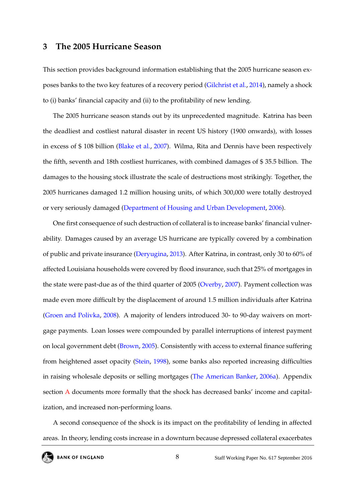#### <span id="page-8-0"></span>**3 The 2005 Hurricane Season**

This section provides background information establishing that the 2005 hurricane season exposes banks to the two key features of a recovery period [\(Gilchrist et al.,](#page-34-0) [2014\)](#page-34-0), namely a shock to (i) banks' financial capacity and (ii) to the profitability of new lending.

The 2005 hurricane season stands out by its unprecedented magnitude. Katrina has been the deadliest and costliest natural disaster in recent US history (1900 onwards), with losses in excess of \$ 108 billion [\(Blake et al.,](#page-32-5) [2007\)](#page-32-5). Wilma, Rita and Dennis have been respectively the fifth, seventh and 18th costliest hurricanes, with combined damages of \$ 35.5 billion. The damages to the housing stock illustrate the scale of destructions most strikingly. Together, the 2005 hurricanes damaged 1.2 million housing units, of which 300,000 were totally destroyed or very seriously damaged [\(Department of Housing and Urban Development,](#page-33-5) [2006\)](#page-33-5).

One first consequence of such destruction of collateral is to increase banks' financial vulnerability. Damages caused by an average US hurricane are typically covered by a combination of public and private insurance [\(Deryugina,](#page-33-2) [2013\)](#page-33-2). After Katrina, in contrast, only 30 to 60% of affected Louisiana households were covered by flood insurance, such that 25% of mortgages in the state were past-due as of the third quarter of 2005 [\(Overby,](#page-36-3) [2007\)](#page-36-3). Payment collection was made even more difficult by the displacement of around 1.5 million individuals after Katrina [\(Groen and Polivka,](#page-34-3) [2008\)](#page-34-3). A majority of lenders introduced 30- to 90-day waivers on mortgage payments. Loan losses were compounded by parallel interruptions of interest payment on local government debt [\(Brown,](#page-32-6) [2005\)](#page-32-6). Consistently with access to external finance suffering from heightened asset opacity [\(Stein,](#page-37-1) [1998\)](#page-37-1), some banks also reported increasing difficulties in raising wholesale deposits or selling mortgages [\(The American Banker,](#page-37-6) [2006a\)](#page-37-6). Appendix section [A](#page-38-0) documents more formally that the shock has decreased banks' income and capitalization, and increased non-performing loans.

A second consequence of the shock is its impact on the profitability of lending in affected areas. In theory, lending costs increase in a downturn because depressed collateral exacerbates

8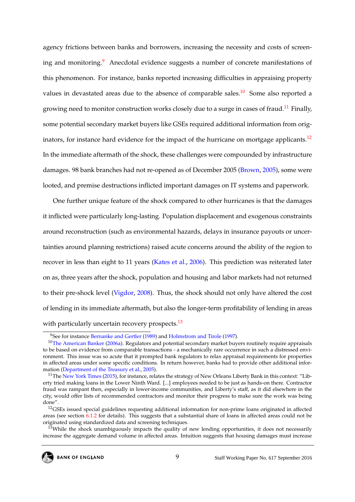agency frictions between banks and borrowers, increasing the necessity and costs of screen-ing and monitoring.<sup>[9](#page--1-0)</sup> Anecdotal evidence suggests a number of concrete manifestations of this phenomenon. For instance, banks reported increasing difficulties in appraising property values in devastated areas due to the absence of comparable sales.<sup>[10](#page--1-0)</sup> Some also reported a growing need to monitor construction works closely due to a surge in cases of fraud.<sup>[11](#page--1-0)</sup> Finally, some potential secondary market buyers like GSEs required additional information from orig-inators, for instance hard evidence for the impact of the hurricane on mortgage applicants.<sup>[12](#page--1-0)</sup> In the immediate aftermath of the shock, these challenges were compounded by infrastructure damages. 98 bank branches had not re-opened as of December 2005 [\(Brown,](#page-32-6) [2005\)](#page-32-6), some were looted, and premise destructions inflicted important damages on IT systems and paperwork.

One further unique feature of the shock compared to other hurricanes is that the damages it inflicted were particularly long-lasting. Population displacement and exogenous constraints around reconstruction (such as environmental hazards, delays in insurance payouts or uncertainties around planning restrictions) raised acute concerns around the ability of the region to recover in less than eight to 11 years [\(Kates et al.,](#page-35-2) [2006\)](#page-35-2). This prediction was reiterated later on as, three years after the shock, population and housing and labor markets had not returned to their pre-shock level [\(Vigdor,](#page-37-7) [2008\)](#page-37-7). Thus, the shock should not only have altered the cost of lending in its immediate aftermath, but also the longer-term profitability of lending in areas with particularly uncertain recovery prospects.<sup>[13](#page--1-0)</sup>

<sup>&</sup>lt;sup>9</sup>See for instance [Bernanke and Gertler](#page-32-1) [\(1989\)](#page-32-1) and [Holmstrom and Tirole](#page-35-0) [\(1997\)](#page-35-0).

 $10$ [The American Banker](#page-37-6) [\(2006a\)](#page-37-6). Regulators and potential secondary market buyers routinely require appraisals to be based on evidence from comparable transactions - a mechanically rare occurrence in such a distressed environment. This issue was so acute that it prompted bank regulators to relax appraisal requirements for properties in affected areas under some specific conditions. In return however, banks had to provide other additional information [\(Department of the Treasury et al.,](#page-33-6) [2005\)](#page-33-6).

<sup>&</sup>lt;sup>11</sup>The [New York Times](#page-36-4) [\(2015\)](#page-36-4), for instance, relates the strategy of New Orleans Liberty Bank in this context: "Liberty tried making loans in the Lower Ninth Ward. [...] employees needed to be just as hands-on there. Contractor fraud was rampant then, especially in lower-income communities, and Liberty's staff, as it did elsewhere in the city, would offer lists of recommended contractors and monitor their progress to make sure the work was being done".

<sup>&</sup>lt;sup>12</sup>GSEs issued special guidelines requesting additional information for non-prime loans originated in affected areas (see section [6.1.2](#page-18-0) for details). This suggests that a substantial share of loans in affected areas could not be originated using standardized data and screening techniques.

 $13$ While the shock unambiguously impacts the quality of new lending opportunities, it does not necessarily increase the aggregate demand volume in affected areas. Intuition suggests that housing damages must increase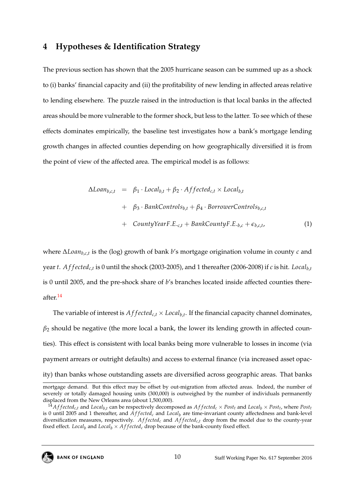#### <span id="page-10-1"></span>**4 Hypotheses & Identification Strategy**

The previous section has shown that the 2005 hurricane season can be summed up as a shock to (i) banks' financial capacity and (ii) the profitability of new lending in affected areas relative to lending elsewhere. The puzzle raised in the introduction is that local banks in the affected areas should be more vulnerable to the former shock, but less to the latter. To see which of these effects dominates empirically, the baseline test investigates how a bank's mortgage lending growth changes in affected counties depending on how geographically diversified it is from the point of view of the affected area. The empirical model is as follows:

<span id="page-10-0"></span>
$$
\Delta Loan_{b,c,t} = \beta_1 \cdot Local_{b,t} + \beta_2 \cdot Affected_{c,t} \times Local_{b,t}
$$
  
+  $\beta_3 \cdot BankControls_{b,t} + \beta_4 \cdot BorrowerControls_{b,c,t}$   
+  $CountryYearF.E.c,t + BankCountryF.E.b,c + \epsilon_{b,c,t},$  (1)

where ∆*Loanb*,*c*,*<sup>t</sup>* is the (log) growth of bank *b*'s mortgage origination volume in county *c* and year *t*. *A f f ectedc*,*<sup>t</sup>* is 0 until the shock (2003-2005), and 1 thereafter (2006-2008) if *c* is hit. *Localb*,*<sup>t</sup>* is 0 until 2005, and the pre-shock share of *b*'s branches located inside affected counties thereafter.[14](#page--1-0)

The variable of interest is  $Affected_{c,t} \times Local_{b,t}$ . If the financial capacity channel dominates,  $\beta_2$  should be negative (the more local a bank, the lower its lending growth in affected counties). This effect is consistent with local banks being more vulnerable to losses in income (via payment arrears or outright defaults) and access to external finance (via increased asset opacity) than banks whose outstanding assets are diversified across geographic areas. That banks

 $^{14}$ Affected<sub>c,t</sub> and Local<sub>b,t</sub> can be respectively decomposed as Affected<sub>c</sub> × Post<sub>t</sub> and Local<sub>b</sub> × Post<sub>t</sub>, where Post<sub>t</sub> is 0 until 2005 and 1 thereafter, and  $\hat{Affected}_c$  and  $Local_b$  are time-invariant county affectedness and bank-level diversification measures, respectively. *Af fected<sub>c</sub>* and *Affected<sub>c,t</sub>* drop from the model due to the county-year fixed effect. *Local<sub>b</sub>* and *Local<sub>b</sub>*  $\times$  *Affected<sub>c</sub>* drop because of the bank-county fixed effect.



mortgage demand. But this effect may be offset by out-migration from affected areas. Indeed, the number of severely or totally damaged housing units (300,000) is outweighed by the number of individuals permanently displaced from the New Orleans area (about 1,500,000).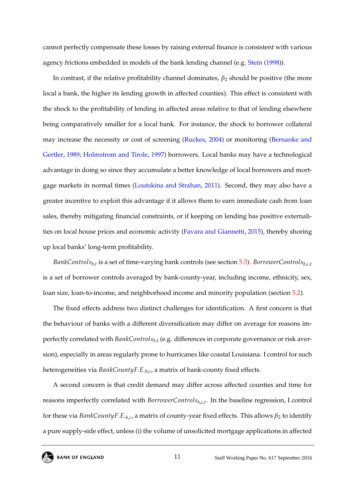cannot perfectly compensate these losses by raising external finance is consistent with various agency frictions embedded in models of the bank lending channel (e.g. [Stein](#page-37-1) [\(1998\)](#page-37-1)).

In contrast, if the relative profitability channel dominates, *β*<sup>2</sup> should be positive (the more local a bank, the higher its lending growth in affected counties). This effect is consistent with the shock to the profitability of lending in affected areas relative to that of lending elsewhere being comparatively smaller for a local bank. For instance, the shock to borrower collateral may increase the necessity or cost of screening [\(Ruckes,](#page-37-2) [2004\)](#page-37-2) or monitoring [\(Bernanke and](#page-32-1) [Gertler,](#page-32-1) [1989;](#page-32-1) [Holmstrom and Tirole,](#page-35-0) [1997\)](#page-35-0) borrowers. Local banks may have a technological advantage in doing so since they accumulate a better knowledge of local borrowers and mortgage markets in normal times [\(Loutskina and Strahan,](#page-35-1) [2011\)](#page-35-1). Second, they may also have a greater incentive to exploit this advantage if it allows them to earn immediate cash from loan sales, thereby mitigating financial constraints, or if keeping on lending has positive externalities on local house prices and economic activity [\(Favara and Giannetti,](#page-34-1) [2015\)](#page-34-1), thereby shoring up local banks' long-term profitability.

*BankControlsb*,*<sup>t</sup>* is a set of time-varying bank controls (see section [5.3\)](#page-16-0). *BorrowerControlsb*,*c*,*<sup>t</sup>* is a set of borrower controls averaged by bank-county-year, including income, ethnicity, sex, loan size, loan-to-income, and neighborhood income and minority population (section [5.2\)](#page-14-0).

The fixed effects address two distinct challenges for identification. A first concern is that the behaviour of banks with a different diversification may differ on average for reasons imperfectly correlated with *BankControlsb*,*<sup>t</sup>* (e.g. differences in corporate governance or risk aversion), especially in areas regularly prone to hurricanes like coastal Louisiana. I control for such heterogeneities via *BankCountyF*.*E*.*b*,*<sup>c</sup>* , a matrix of bank-county fixed effects.

A second concern is that credit demand may differ across affected counties and time for reasons imperfectly correlated with *BorrowerControlsb*,*c*,*<sup>t</sup>* . In the baseline regression, I control for these via *BankCountyF.E.* $_{b,c}$ *,* a matrix of county-year fixed effects. This allows  $\beta_2$  to identify a pure supply-side effect, unless (i) the volume of unsolicited mortgage applications in affected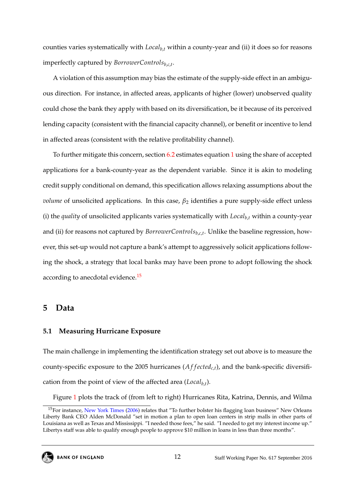counties varies systematically with *Localb*,*<sup>t</sup>* within a county-year and (ii) it does so for reasons imperfectly captured by *BorrowerControlsb*,*c*,*<sup>t</sup>* .

A violation of this assumption may bias the estimate of the supply-side effect in an ambiguous direction. For instance, in affected areas, applicants of higher (lower) unobserved quality could chose the bank they apply with based on its diversification, be it because of its perceived lending capacity (consistent with the financial capacity channel), or benefit or incentive to lend in affected areas (consistent with the relative profitability channel).

To further mitigate this concern, section [6.2](#page-23-0) estimates equation [1](#page-10-0) using the share of accepted applications for a bank-county-year as the dependent variable. Since it is akin to modeling credit supply conditional on demand, this specification allows relaxing assumptions about the *volume* of unsolicited applications. In this case,  $\beta_2$  identifies a pure supply-side effect unless (i) the *quality* of unsolicited applicants varies systematically with *Localb*,*<sup>t</sup>* within a county-year and (ii) for reasons not captured by *BorrowerControlsb*,*c*,*<sup>t</sup>* . Unlike the baseline regression, however, this set-up would not capture a bank's attempt to aggressively solicit applications following the shock, a strategy that local banks may have been prone to adopt following the shock according to anecdotal evidence.<sup>[15](#page--1-0)</sup>

#### **5 Data**

#### **5.1 Measuring Hurricane Exposure**

The main challenge in implementing the identification strategy set out above is to measure the county-specific exposure to the 2005 hurricanes  $(Affected_{c,t})$ , and the bank-specific diversification from the point of view of the affected area (*Localb*,*<sup>t</sup>* ).

Figure [1](#page-43-0) plots the track of (from left to right) Hurricanes Rita, Katrina, Dennis, and Wilma

<sup>&</sup>lt;sup>15</sup>For instance, [New York Times](#page-36-5) [\(2006\)](#page-36-5) relates that "To further bolster his flagging loan business" New Orleans Liberty Bank CEO Alden McDonald "set in motion a plan to open loan centers in strip malls in other parts of Louisiana as well as Texas and Mississippi. "I needed those fees," he said. "I needed to get my interest income up." Libertys staff was able to qualify enough people to approve \$10 million in loans in less than three months".

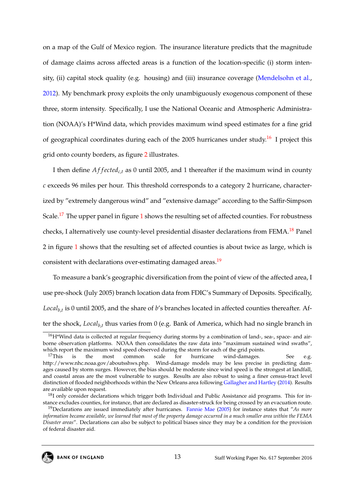on a map of the Gulf of Mexico region. The insurance literature predicts that the magnitude of damage claims across affected areas is a function of the location-specific (i) storm intensity, (ii) capital stock quality (e.g. housing) and (iii) insurance coverage [\(Mendelsohn et al.,](#page-36-6) [2012\)](#page-36-6). My benchmark proxy exploits the only unambiguously exogenous component of these three, storm intensity. Specifically, I use the National Oceanic and Atmospheric Administration (NOAA)'s H\*Wind data, which provides maximum wind speed estimates for a fine grid of geographical coordinates during each of the 2005 hurricanes under study.<sup>[16](#page--1-0)</sup> I project this grid onto county borders, as figure [2](#page-44-0) illustrates.

I then define *Af fected<sub>c,t</sub>* as 0 until 2005, and 1 thereafter if the maximum wind in county *c* exceeds 96 miles per hour. This threshold corresponds to a category 2 hurricane, characterized by "extremely dangerous wind" and "extensive damage" according to the Saffir-Simpson Scale.<sup>[17](#page--1-0)</sup> The upper panel in figure [1](#page-43-0) shows the resulting set of affected counties. For robustness checks, I alternatively use county-level presidential disaster declarations from FEMA.<sup>[18](#page--1-0)</sup> Panel 2 in figure [1](#page-43-0) shows that the resulting set of affected counties is about twice as large, which is consistent with declarations over-estimating damaged areas.<sup>[19](#page--1-0)</sup>

To measure a bank's geographic diversification from the point of view of the affected area, I use pre-shock (July 2005) branch location data from FDIC's Summary of Deposits. Specifically, *Localb*,*<sup>t</sup>* is 0 until 2005, and the share of *b*'s branches located in affected counties thereafter. After the shock, *Localb*,*<sup>t</sup>* thus varies from 0 (e.g. Bank of America, which had no single branch in

13

<sup>&</sup>lt;sup>16</sup>H\*Wind data is collected at regular frequency during storms by a combination of land-, sea-, space- and airborne observation platforms. NOAA then consolidates the raw data into "maximum sustained wind swaths", which report the maximum wind speed observed during the storm for each of the grid points.

<sup>&</sup>lt;sup>17</sup>This is the most common scale for hurricane wind-damages. See e.g. http://www.nhc.noaa.gov/aboutsshws.php. Wind-damage models may be less precise in predicting damages caused by storm surges. However, the bias should be moderate since wind speed is the strongest at landfall, and coastal areas are the most vulnerable to surges. Results are also robust to using a finer census-tract level distinction of flooded neighborhoods within the New Orleans area following [Gallagher and Hartley](#page-34-2) [\(2014\)](#page-34-2). Results are available upon request.

<sup>&</sup>lt;sup>18</sup>I only consider declarations which trigger both Individual and Public Assistance aid programs. This for instance excludes counties, for instance, that are declared as disaster-struck for being crossed by an evacuation route.

<sup>19</sup>Declarations are issued immediately after hurricanes. [Fannie Mae](#page-34-4) [\(2005\)](#page-34-4) for instance states that "*As more information became available, we learned that most of the property damage occurred in a much smaller area within the FEMA Disaster areas*". Declarations can also be subject to political biases since they may be a condition for the provision of federal disaster aid.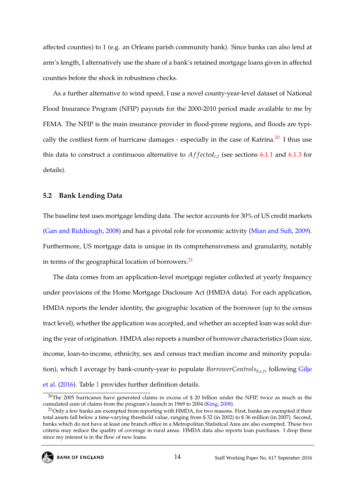affected counties) to 1 (e.g. an Orleans parish community bank). Since banks can also lend at arm's length, I alternatively use the share of a bank's retained mortgage loans given in affected counties before the shock in robustness checks.

As a further alternative to wind speed, I use a novel county-year-level dataset of National Flood Insurance Program (NFIP) payouts for the 2000-2010 period made available to me by FEMA. The NFIP is the main insurance provider in flood-prone regions, and floods are typi-cally the costliest form of hurricane damages - especially in the case of Katrina.<sup>[20](#page--1-0)</sup> I thus use this data to construct a continuous alternative to  $Affected_{c,t}$  (see sections [6.1.1](#page-17-0) and [6.1.3](#page-21-0) for details).

#### <span id="page-14-0"></span>**5.2 Bank Lending Data**

The baseline test uses mortgage lending data. The sector accounts for 30% of US credit markets [\(Gan and Riddiough,](#page-34-5) [2008\)](#page-34-5) and has a pivotal role for economic activity [\(Mian and Sufi,](#page-36-7) [2009\)](#page-36-7). Furthermore, US mortgage data is unique in its comprehensiveness and granularity, notably in terms of the geographical location of borrowers. $^{21}$  $^{21}$  $^{21}$ 

The data comes from an application-level mortgage register collected at yearly frequency under provisions of the Home Mortgage Disclosure Act (HMDA data). For each application, HMDA reports the lender identity, the geographic location of the borrower (up to the census tract level), whether the application was accepted, and whether an accepted loan was sold during the year of origination. HMDA also reports a number of borrower characteristics (loan size, income, loan-to-income, ethnicity, sex and census tract median income and minority population), which I average by bank-county-year to populate *BorrowerControlsb*,*c*,*<sup>t</sup>* , following [Gilje](#page-34-6) [et al.](#page-34-6) [\(2016\)](#page-34-6). Table [1](#page-46-0) provides further definition details.

<sup>&</sup>lt;sup>20</sup>The 2005 hurricanes have generated claims in excess of \$ 20 billion under the NFIP, twice as much as the cumulated sum of claims from the program's launch in 1969 to 2004 [\(King,](#page-35-6) [2008\)](#page-35-6).

 $^{21}$ Only a few banks are exempted from reporting with HMDA, for two reasons. First, banks are exempted if their total assets fall below a time-varying threshold value, ranging from \$ 32 (in 2002) to \$ 36 million (in 2007). Second, banks which do not have at least one branch office in a Metropolitan Statistical Area are also exempted. These two criteria may reduce the quality of coverage in rural areas. HMDA data also reports loan purchases. I drop these since my interest is in the flow of new loans.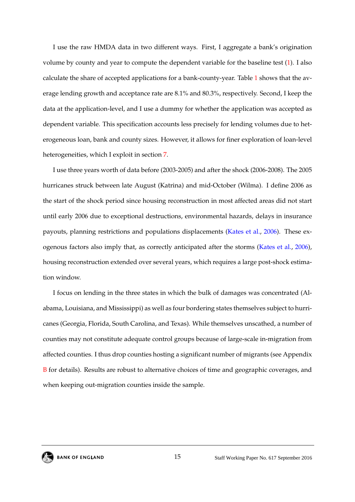I use the raw HMDA data in two different ways. First, I aggregate a bank's origination volume by county and year to compute the dependent variable for the baseline test [\(1\)](#page-10-0). I also calculate the share of accepted applications for a bank-county-year. Table [1](#page-46-0) shows that the average lending growth and acceptance rate are 8.1% and 80.3%, respectively. Second, I keep the data at the application-level, and I use a dummy for whether the application was accepted as dependent variable. This specification accounts less precisely for lending volumes due to heterogeneous loan, bank and county sizes. However, it allows for finer exploration of loan-level heterogeneities, which I exploit in section [7.](#page-24-0)

I use three years worth of data before (2003-2005) and after the shock (2006-2008). The 2005 hurricanes struck between late August (Katrina) and mid-October (Wilma). I define 2006 as the start of the shock period since housing reconstruction in most affected areas did not start until early 2006 due to exceptional destructions, environmental hazards, delays in insurance payouts, planning restrictions and populations displacements [\(Kates et al.,](#page-35-2) [2006\)](#page-35-2). These exogenous factors also imply that, as correctly anticipated after the storms [\(Kates et al.,](#page-35-2) [2006\)](#page-35-2), housing reconstruction extended over several years, which requires a large post-shock estimation window.

I focus on lending in the three states in which the bulk of damages was concentrated (Alabama, Louisiana, and Mississippi) as well as four bordering states themselves subject to hurricanes (Georgia, Florida, South Carolina, and Texas). While themselves unscathed, a number of counties may not constitute adequate control groups because of large-scale in-migration from affected counties. I thus drop counties hosting a significant number of migrants (see Appendix [B](#page-39-0) for details). Results are robust to alternative choices of time and geographic coverages, and when keeping out-migration counties inside the sample.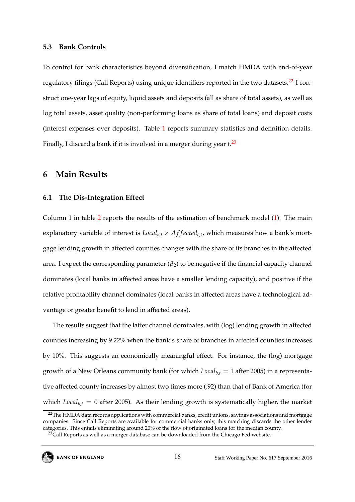#### <span id="page-16-0"></span>**5.3 Bank Controls**

To control for bank characteristics beyond diversification, I match HMDA with end-of-year regulatory filings (Call Reports) using unique identifiers reported in the two datasets.<sup>[22](#page--1-0)</sup> I construct one-year lags of equity, liquid assets and deposits (all as share of total assets), as well as log total assets, asset quality (non-performing loans as share of total loans) and deposit costs (interest expenses over deposits). Table [1](#page-46-0) reports summary statistics and definition details. Finally, I discard a bank if it is involved in a merger during year *t*. [23](#page--1-0)

#### **6 Main Results**

#### **6.1 The Dis-Integration Effect**

Column 1 in table [2](#page-47-0) reports the results of the estimation of benchmark model [\(1\)](#page-10-0). The main explanatory variable of interest is  $Local_{b,t} \times Affected_{c,t}$ , which measures how a bank's mortgage lending growth in affected counties changes with the share of its branches in the affected area. I expect the corresponding parameter  $(\beta_2)$  to be negative if the financial capacity channel dominates (local banks in affected areas have a smaller lending capacity), and positive if the relative profitability channel dominates (local banks in affected areas have a technological advantage or greater benefit to lend in affected areas).

The results suggest that the latter channel dominates, with (log) lending growth in affected counties increasing by 9.22% when the bank's share of branches in affected counties increases by 10%. This suggests an economically meaningful effect. For instance, the (log) mortgage growth of a New Orleans community bank (for which *Localb*,*<sup>t</sup>* = 1 after 2005) in a representative affected county increases by almost two times more (.92) than that of Bank of America (for which  $Local<sub>b,t</sub> = 0$  after 2005). As their lending growth is systematically higher, the market

<sup>&</sup>lt;sup>23</sup>Call Reports as well as a merger database can be downloaded from the Chicago Fed website.



<sup>&</sup>lt;sup>22</sup>The HMDA data records applications with commercial banks, credit unions, savings associations and mortgage companies. Since Call Reports are available for commercial banks only, this matching discards the other lender categories. This entails eliminating around 20% of the flow of originated loans for the median county.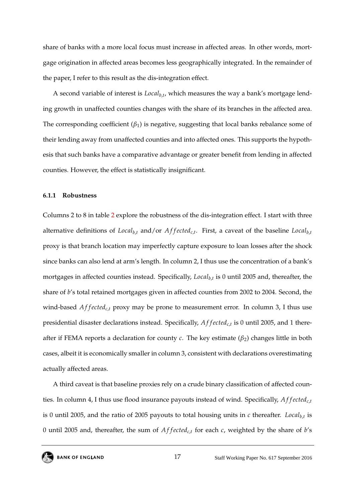share of banks with a more local focus must increase in affected areas. In other words, mortgage origination in affected areas becomes less geographically integrated. In the remainder of the paper, I refer to this result as the dis-integration effect.

A second variable of interest is *Localb*,*<sup>t</sup>* , which measures the way a bank's mortgage lending growth in unaffected counties changes with the share of its branches in the affected area. The corresponding coefficient  $(\beta_1)$  is negative, suggesting that local banks rebalance some of their lending away from unaffected counties and into affected ones. This supports the hypothesis that such banks have a comparative advantage or greater benefit from lending in affected counties. However, the effect is statistically insignificant.

#### <span id="page-17-0"></span>**6.1.1 Robustness**

Columns 2 to 8 in table [2](#page-47-0) explore the robustness of the dis-integration effect. I start with three alternative definitions of *Localb*,*<sup>t</sup>* and/or *A f f ectedc*,*<sup>t</sup>* . First, a caveat of the baseline *Localb*,*<sup>t</sup>* proxy is that branch location may imperfectly capture exposure to loan losses after the shock since banks can also lend at arm's length. In column 2, I thus use the concentration of a bank's mortgages in affected counties instead. Specifically, *Localb*,*<sup>t</sup>* is 0 until 2005 and, thereafter, the share of *b*'s total retained mortgages given in affected counties from 2002 to 2004. Second, the wind-based *Af f ected<sub>c,t</sub>* proxy may be prone to measurement error. In column 3, I thus use presidential disaster declarations instead. Specifically, *A f f ectedc*,*<sup>t</sup>* is 0 until 2005, and 1 thereafter if FEMA reports a declaration for county  $c$ . The key estimate  $(\beta_2)$  changes little in both cases, albeit it is economically smaller in column 3, consistent with declarations overestimating actually affected areas.

A third caveat is that baseline proxies rely on a crude binary classification of affected counties. In column 4, I thus use flood insurance payouts instead of wind. Specifically, *Af fected<sub>c,t</sub>* is 0 until 2005, and the ratio of 2005 payouts to total housing units in *c* thereafter. *Localb*,*<sup>t</sup>* is 0 until 2005 and, thereafter, the sum of *A f f ectedc*,*<sup>t</sup>* for each *c*, weighted by the share of *b*'s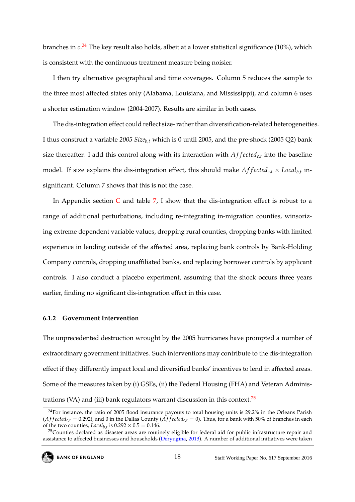branches in *c*. [24](#page--1-0) The key result also holds, albeit at a lower statistical significance (10%), which is consistent with the continuous treatment measure being noisier.

I then try alternative geographical and time coverages. Column 5 reduces the sample to the three most affected states only (Alabama, Louisiana, and Mississippi), and column 6 uses a shorter estimation window (2004-2007). Results are similar in both cases.

The dis-integration effect could reflect size- rather than diversification-related heterogeneities. I thus construct a variable *2005 Sizeb*,*<sup>t</sup>* which is 0 until 2005, and the pre-shock (2005 Q2) bank size thereafter. I add this control along with its interaction with  $Affected_{c,t}$  into the baseline model. If size explains the dis-integration effect, this should make  $Affected_{c,t} \times Local_{b,t}$  insignificant. Column 7 shows that this is not the case.

In Appendix section  $C$  and table [7,](#page-55-0) I show that the dis-integration effect is robust to a range of additional perturbations, including re-integrating in-migration counties, winsorizing extreme dependent variable values, dropping rural counties, dropping banks with limited experience in lending outside of the affected area, replacing bank controls by Bank-Holding Company controls, dropping unaffiliated banks, and replacing borrower controls by applicant controls. I also conduct a placebo experiment, assuming that the shock occurs three years earlier, finding no significant dis-integration effect in this case.

#### <span id="page-18-0"></span>**6.1.2 Government Intervention**

The unprecedented destruction wrought by the 2005 hurricanes have prompted a number of extraordinary government initiatives. Such interventions may contribute to the dis-integration effect if they differently impact local and diversified banks' incentives to lend in affected areas. Some of the measures taken by (i) GSEs, (ii) the Federal Housing (FHA) and Veteran Administrations (VA) and (iii) bank regulators warrant discussion in this context. $25$ 

<sup>&</sup>lt;sup>25</sup>Counties declared as disaster areas are routinely eligible for federal aid for public infrastructure repair and assistance to affected businesses and households [\(Deryugina,](#page-33-2) [2013\)](#page-33-2). A number of additional initiatives were taken



<sup>&</sup>lt;sup>24</sup>For instance, the ratio of 2005 flood insurance payouts to total housing units is 29.2% in the Orleans Parish (*Affected<sub>c,t</sub>* = 0.292), and 0 in the Dallas County (*Affected<sub>c,t</sub>* = 0). Thus, for a bank with 50% of branches in each of the two counties, *Local*<sub>b,*t*</sub> is  $0.292 \times 0.5 = 0.146$ .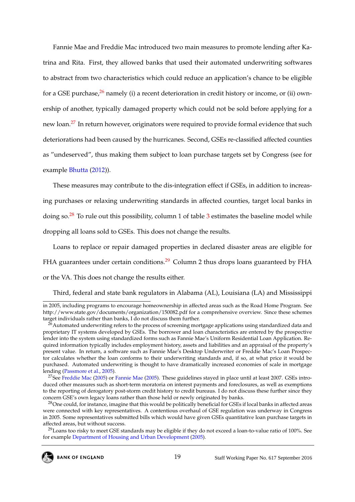Fannie Mae and Freddie Mac introduced two main measures to promote lending after Katrina and Rita. First, they allowed banks that used their automated underwriting softwares to abstract from two characteristics which could reduce an application's chance to be eligible for a GSE purchase,  $^{26}$  $^{26}$  $^{26}$  namely (i) a recent deterioration in credit history or income, or (ii) ownership of another, typically damaged property which could not be sold before applying for a new loan.<sup>[27](#page--1-0)</sup> In return however, originators were required to provide formal evidence that such deteriorations had been caused by the hurricanes. Second, GSEs re-classified affected counties as "undeserved", thus making them subject to loan purchase targets set by Congress (see for example [Bhutta](#page-32-7) [\(2012\)](#page-32-7)).

These measures may contribute to the dis-integration effect if GSEs, in addition to increasing purchases or relaxing underwriting standards in affected counties, target local banks in doing so.<sup>[28](#page--1-0)</sup> To rule out this possibility, column 1 of table [3](#page-48-0) estimates the baseline model while dropping all loans sold to GSEs. This does not change the results.

Loans to replace or repair damaged properties in declared disaster areas are eligible for FHA guarantees under certain conditions.<sup>[29](#page--1-0)</sup> Column 2 thus drops loans guaranteed by FHA or the VA. This does not change the results either.

Third, federal and state bank regulators in Alabama (AL), Louisiana (LA) and Mississippi

 $^{29}$ Loans too risky to meet GSE standards may be eligible if they do not exceed a loan-to-value ratio of 100%. See for example [Department of Housing and Urban Development](#page-33-7) [\(2005\)](#page-33-7).



in 2005, including programs to encourage homeownership in affected areas such as the Road Home Program. See http://www.state.gov/documents/organization/150082.pdf for a comprehensive overview. Since these schemes target individuals rather than banks, I do not discuss them further.

 $^{26}$ Automated underwriting refers to the process of screening mortgage applications using standardized data and proprietary IT systems developed by GSEs. The borrower and loan characteristics are entered by the prospective lender into the system using standardized forms such as Fannie Mae's Uniform Residential Loan Application. Required information typically includes employment history, assets and liabilities and an appraisal of the property's present value. In return, a software such as Fannie Mae's Desktop Underwriter or Freddie Mac's Loan Prospector calculates whether the loan conforms to their underwriting standards and, if so, at what price it would be purchased. Automated underwriting is thought to have dramatically increased economies of scale in mortgage lending [\(Passmore et al.,](#page-36-8) [2005\)](#page-36-8).

<sup>&</sup>lt;sup>27</sup>See [Freddie Mac](#page-34-7) [\(2005\)](#page-34-4) or [Fannie Mae](#page-34-4) (2005). These guidelines stayed in place until at least 2007. GSEs introduced other measures such as short-term moratoria on interest payments and foreclosures, as well as exemptions to the reporting of derogatory post-storm credit history to credit bureaus. I do not discuss these further since they concern GSE's own legacy loans rather than those held or newly originated by banks.

<sup>&</sup>lt;sup>28</sup>One could, for instance, imagine that this would be politically beneficial for GSEs if local banks in affected areas were connected with key representatives. A contentious overhaul of GSE regulation was underway in Congress in 2005. Some representatives submitted bills which would have given GSEs quantitative loan purchase targets in affected areas, but without success.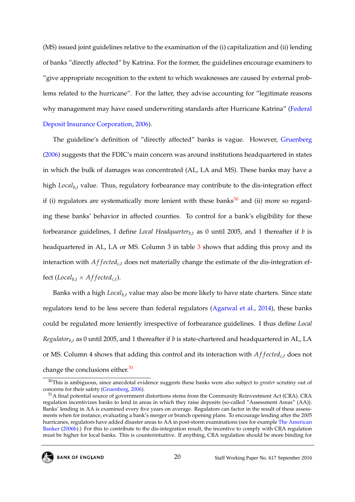(MS) issued joint guidelines relative to the examination of the (i) capitalization and (ii) lending of banks "directly affected" by Katrina. For the former, the guidelines encourage examiners to "give appropriate recognition to the extent to which weaknesses are caused by external problems related to the hurricane". For the latter, they advise accounting for "legitimate reasons why management may have eased underwriting standards after Hurricane Katrina" [\(Federal](#page-34-8) [Deposit Insurance Corporation,](#page-34-8) [2006\)](#page-34-8).

The guideline's definition of "directly affected" banks is vague. However, [Gruenberg](#page-35-7) [\(2006\)](#page-35-7) suggests that the FDIC's main concern was around institutions headquartered in states in which the bulk of damages was concentrated (AL, LA and MS). These banks may have a high *Localb*,*<sup>t</sup>* value. Thus, regulatory forbearance may contribute to the dis-integration effect if (i) regulators are systematically more lenient with these banks $30$  and (ii) more so regarding these banks' behavior in affected counties. To control for a bank's eligibility for these forbearance guidelines, I define *Local Headquarter*<sub>b,*t*</sub> as 0 until 2005, and 1 thereafter if *b* is headquartered in AL, LA or MS. Column [3](#page-48-0) in table 3 shows that adding this proxy and its interaction with *Affected<sub>ct</sub>* does not materially change the estimate of the dis-integration effect (*Local*<sub>*b*,*t*</sub>  $\times$  *Affected*<sub>*c*,*t*</sub>).

Banks with a high *Localb*,*<sup>t</sup>* value may also be more likely to have state charters. Since state regulators tend to be less severe than federal regulators [\(Agarwal et al.,](#page-32-8) [2014\)](#page-32-8), these banks could be regulated more leniently irrespective of forbearance guidelines. I thus define *Local Regulatorb*,*<sup>t</sup>* as 0 until 2005, and 1 thereafter if *b* is state-chartered and headquartered in AL, LA or MS. Column 4 shows that adding this control and its interaction with *A f f ectedc*,*<sup>t</sup>* does not change the conclusions either. $31$ 

<sup>30</sup>This is ambiguous, since anecdotal evidence suggests these banks were also subject to *greater* scrutiny out of concerns for their safety [\(Gruenberg,](#page-35-7) [2006\)](#page-35-7).

<sup>&</sup>lt;sup>31</sup>A final potential source of government distortions stems from the Community Reinvestment Act (CRA). CRA regulation incentivizes banks to lend in areas in which they raise deposits (so-called "Assessment Areas" (AA)). Banks' lending in AA is examined every five years on average. Regulators can factor in the result of these assessments when for instance, evaluating a bank's merger or branch opening plans. To encourage lending after the 2005 hurricanes, regulators have added disaster areas to AA in post-storm examinations (see for example [The American](#page-37-8) [Banker](#page-37-8) [\(2006b\)](#page-37-8).) For this to contribute to the dis-integration result, the incentive to comply with CRA regulation must be higher for local banks. This is counterintuitive. If anything, CRA regulation should be more binding for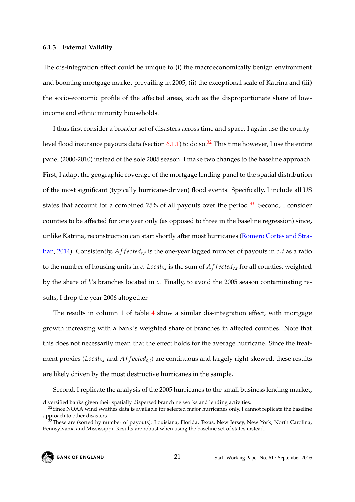#### <span id="page-21-0"></span>**6.1.3 External Validity**

The dis-integration effect could be unique to (i) the macroeconomically benign environment and booming mortgage market prevailing in 2005, (ii) the exceptional scale of Katrina and (iii) the socio-economic profile of the affected areas, such as the disproportionate share of lowincome and ethnic minority households.

I thus first consider a broader set of disasters across time and space. I again use the countylevel flood insurance payouts data (section  $6.1.1$ ) to do so.<sup>[32](#page--1-0)</sup> This time however, I use the entire panel (2000-2010) instead of the sole 2005 season. I make two changes to the baseline approach. First, I adapt the geographic coverage of the mortgage lending panel to the spatial distribution of the most significant (typically hurricane-driven) flood events. Specifically, I include all US states that account for a combined 75% of all payouts over the period.<sup>[33](#page--1-0)</sup> Second, I consider counties to be affected for one year only (as opposed to three in the baseline regression) since, unlike Katrina, reconstruction can start shortly after most hurricanes [\(Romero Cortes and Stra-](#page-37-4) ´ [han,](#page-37-4) [2014\)](#page-37-4). Consistently, *A f f ectedc*,*<sup>t</sup>* is the one-year lagged number of payouts in *c*, *t* as a ratio to the number of housing units in *c*. *Localb*,*<sup>t</sup>* is the sum of *A f f ectedc*,*<sup>t</sup>* for all counties, weighted by the share of *b*'s branches located in *c*. Finally, to avoid the 2005 season contaminating results, I drop the year 2006 altogether.

The results in column 1 of table [4](#page-49-0) show a similar dis-integration effect, with mortgage growth increasing with a bank's weighted share of branches in affected counties. Note that this does not necessarily mean that the effect holds for the average hurricane. Since the treatment proxies (*Local*<sub>*b*,*t*</sub> and *Af f ected*<sub>*c*,*t*</sub>) are continuous and largely right-skewed, these results are likely driven by the most destructive hurricanes in the sample.

Second, I replicate the analysis of the 2005 hurricanes to the small business lending market,

diversified banks given their spatially dispersed branch networks and lending activities.

<sup>&</sup>lt;sup>32</sup>Since NOAA wind swathes data is available for selected major hurricanes only, I cannot replicate the baseline approach to other disasters.

<sup>&</sup>lt;sup>33</sup>These are (sorted by number of payouts): Louisiana, Florida, Texas, New Jersey, New York, North Carolina, Pennsylvania and Mississippi. Results are robust when using the baseline set of states instead.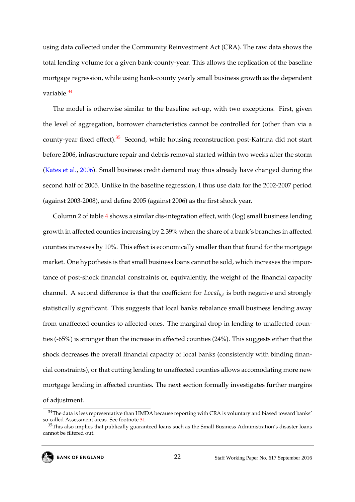using data collected under the Community Reinvestment Act (CRA). The raw data shows the total lending volume for a given bank-county-year. This allows the replication of the baseline mortgage regression, while using bank-county yearly small business growth as the dependent variable.<sup>[34](#page--1-0)</sup>

The model is otherwise similar to the baseline set-up, with two exceptions. First, given the level of aggregation, borrower characteristics cannot be controlled for (other than via a county-year fixed effect).<sup>[35](#page--1-0)</sup> Second, while housing reconstruction post-Katrina did not start before 2006, infrastructure repair and debris removal started within two weeks after the storm [\(Kates et al.,](#page-35-2) [2006\)](#page-35-2). Small business credit demand may thus already have changed during the second half of 2005. Unlike in the baseline regression, I thus use data for the 2002-2007 period (against 2003-2008), and define 2005 (against 2006) as the first shock year.

Column 2 of table [4](#page-49-0) shows a similar dis-integration effect, with (log) small business lending growth in affected counties increasing by 2.39% when the share of a bank's branches in affected counties increases by 10%. This effect is economically smaller than that found for the mortgage market. One hypothesis is that small business loans cannot be sold, which increases the importance of post-shock financial constraints or, equivalently, the weight of the financial capacity channel. A second difference is that the coefficient for *Localb*,*<sup>t</sup>* is both negative and strongly statistically significant. This suggests that local banks rebalance small business lending away from unaffected counties to affected ones. The marginal drop in lending to unaffected counties (-65%) is stronger than the increase in affected counties (24%). This suggests either that the shock decreases the overall financial capacity of local banks (consistently with binding financial constraints), or that cutting lending to unaffected counties allows accomodating more new mortgage lending in affected counties. The next section formally investigates further margins of adjustment.

<sup>&</sup>lt;sup>34</sup>The data is less representative than HMDA because reporting with CRA is voluntary and biased toward banks' so-called Assessment areas. See footnote [31.](#page-18-0)

<sup>&</sup>lt;sup>35</sup>This also implies that publically guaranteed loans such as the Small Business Administration's disaster loans cannot be filtered out.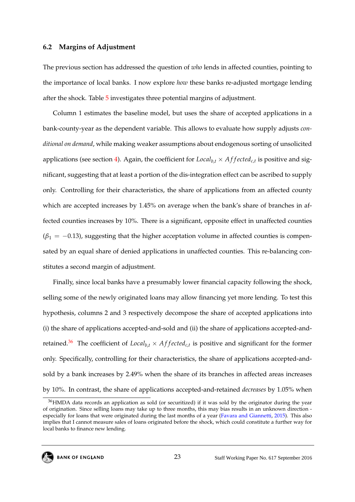#### <span id="page-23-0"></span>**6.2 Margins of Adjustment**

The previous section has addressed the question of *who* lends in affected counties, pointing to the importance of local banks. I now explore *how* these banks re-adjusted mortgage lending after the shock. Table [5](#page-50-0) investigates three potential margins of adjustment.

Column 1 estimates the baseline model, but uses the share of accepted applications in a bank-county-year as the dependent variable. This allows to evaluate how supply adjusts *conditional on demand*, while making weaker assumptions about endogenous sorting of unsolicited applications (see section [4\)](#page-10-1). Again, the coefficient for  $Local_{b,t} \times Affected_{c,t}$  is positive and significant, suggesting that at least a portion of the dis-integration effect can be ascribed to supply only. Controlling for their characteristics, the share of applications from an affected county which are accepted increases by 1.45% on average when the bank's share of branches in affected counties increases by 10%. There is a significant, opposite effect in unaffected counties  $(\beta_1 = -0.13)$ , suggesting that the higher acceptation volume in affected counties is compensated by an equal share of denied applications in unaffected counties. This re-balancing constitutes a second margin of adjustment.

Finally, since local banks have a presumably lower financial capacity following the shock, selling some of the newly originated loans may allow financing yet more lending. To test this hypothesis, columns 2 and 3 respectively decompose the share of accepted applications into (i) the share of applications accepted-and-sold and (ii) the share of applications accepted-and-retained.<sup>[36](#page--1-0)</sup> The coefficient of *Local*<sub>*b*,*t*</sub> × *Af f ected<sub>c,t</sub>* is positive and significant for the former only. Specifically, controlling for their characteristics, the share of applications accepted-andsold by a bank increases by 2.49% when the share of its branches in affected areas increases by 10%. In contrast, the share of applications accepted-and-retained *decreases* by 1.05% when

<sup>&</sup>lt;sup>36</sup>HMDA data records an application as sold (or securitized) if it was sold by the originator during the year of origination. Since selling loans may take up to three months, this may bias results in an unknown direction especially for loans that were originated during the last months of a year [\(Favara and Giannetti,](#page-34-1) [2015\)](#page-34-1). This also implies that I cannot measure sales of loans originated before the shock, which could constitute a further way for local banks to finance new lending.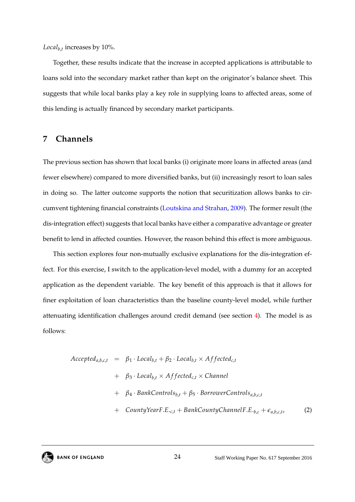*Localb*,*<sup>t</sup>* increases by 10%.

Together, these results indicate that the increase in accepted applications is attributable to loans sold into the secondary market rather than kept on the originator's balance sheet. This suggests that while local banks play a key role in supplying loans to affected areas, some of this lending is actually financed by secondary market participants.

## <span id="page-24-0"></span>**7 Channels**

The previous section has shown that local banks (i) originate more loans in affected areas (and fewer elsewhere) compared to more diversified banks, but (ii) increasingly resort to loan sales in doing so. The latter outcome supports the notion that securitization allows banks to circumvent tightening financial constraints [\(Loutskina and Strahan,](#page-36-1) [2009\)](#page-36-1). The former result (the dis-integration effect) suggests that local banks have either a comparative advantage or greater benefit to lend in affected counties. However, the reason behind this effect is more ambiguous.

This section explores four non-mutually exclusive explanations for the dis-integration effect. For this exercise, I switch to the application-level model, with a dummy for an accepted application as the dependent variable. The key benefit of this approach is that it allows for finer exploitation of loan characteristics than the baseline county-level model, while further attenuating identification challenges around credit demand (see section [4\)](#page-10-1). The model is as follows:

<span id="page-24-1"></span>Accepted<sub>a,b,c,t</sub> = 
$$
\beta_1 \cdot Local_{b,t} + \beta_2 \cdot Local_{b,t} \times Affected_{c,t}
$$
  
+  $\beta_3 \cdot Local_{b,t} \times Affected_{c,t} \times Channel$   
+  $\beta_4 \cdot BankControls_{b,t} + \beta_5 \cdot BorrowerControls_{a,b,c,t}$   
+  $CountiYearE E_{b,t} + BankCountrolshannelE E_{c,t} + C_{c,t}$  (2)

+ CountyYearF.E.<sub>c,t</sub> + BankCountryChannelF.E.<sub>b,c</sub> + 
$$
\epsilon_{a,b,c,t}
$$
, (2)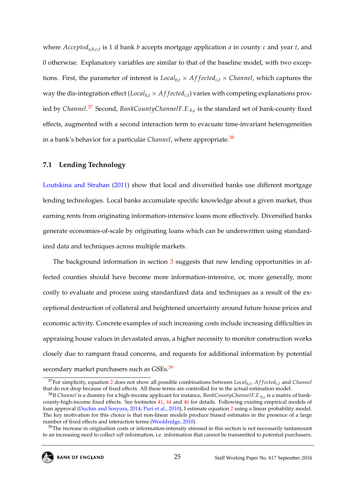where *Accepteda*,*b*,*c*,*<sup>t</sup>* is 1 if bank *b* accepts mortgage application *a* in county *c* and year *t*, and 0 otherwise. Explanatory variables are similar to that of the baseline model, with two exceptions. First, the parameter of interest is  $Local_{b,t} \times Affected_{c,t} \times Channel$ , which captures the way the dis-integration effect (*Local*<sub>*b*,*t*</sub>  $\times$  *Af fected<sub>c,t</sub>*) varies with competing explanations proxied by *Channel*. [37](#page--1-0) Second, *BankCountyChannelF*.*E*.*b*,*<sup>c</sup>* is the standard set of bank-county fixed effects, augmented with a second interaction term to evacuate time-invariant heterogeneities in a bank's behavior for a particular *Channel*, where appropriate.<sup>[38](#page--1-0)</sup>

#### <span id="page-25-0"></span>**7.1 Lending Technology**

[Loutskina and Strahan](#page-35-1) [\(2011\)](#page-35-1) show that local and diversified banks use different mortgage lending technologies. Local banks accumulate specific knowledge about a given market, thus earning rents from originating information-intensive loans more effectively. Diversified banks generate economies-of-scale by originating loans which can be underwritten using standardized data and techniques across multiple markets.

The background information in section [3](#page-8-0) suggests that new lending opportunities in affected counties should have become more information-intensive, or, more generally, more costly to evaluate and process using standardized data and techniques as a result of the exceptional destruction of collateral and heightened uncertainty around future house prices and economic activity. Concrete examples of such increasing costs include increasing difficulties in appraising house values in devastated areas, a higher necessity to monitor construction works closely due to rampant fraud concerns, and requests for additional information by potential secondary market purchasers such as GSEs.<sup>[39](#page--1-0)</sup>

<sup>&</sup>lt;sup>37</sup>For simplicity, equation [2](#page-24-1) does not show all possible combinations between *Local<sub>b,t</sub>*, *Affected<sub>c,t</sub>* and *Channel* that do not drop because of fixed effects. All these terms are controlled for in the actual estimation model.

<sup>38</sup>If *Channel* is a dummy for a high-income applicant for instance, *BankCountyChannelF*.*E*.*b*,*<sup>c</sup>* is a matrix of bankcounty-high-income fixed effects. See footnotes [41,](#page-25-0) [44](#page-28-0) and [46](#page-29-0) for details. Following existing empirical models of loan approval [\(Duchin and Sosyura,](#page-33-8) [2014;](#page-33-8) [Puri et al.,](#page-37-9) [2010\)](#page-37-9), I estimate equation [2](#page-24-1) using a linear probability model. The key motivation for this choice is that non-linear models produce biased estimates in the presence of a large number of fixed effects and interaction terms [\(Wooldridge,](#page-37-10) [2010\)](#page-37-10).

 $39$ The increase in origination costs or information-intensity stressed in this section is not necessarily tantamount to an increasing need to collect *soft* information, i.e. information that cannot be transmitted to potential purchasers.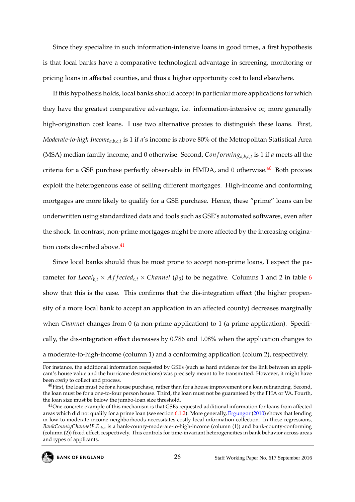Since they specialize in such information-intensive loans in good times, a first hypothesis is that local banks have a comparative technological advantage in screening, monitoring or pricing loans in affected counties, and thus a higher opportunity cost to lend elsewhere.

If this hypothesis holds, local banks should accept in particular more applications for which they have the greatest comparative advantage, i.e. information-intensive or, more generally high-origination cost loans. I use two alternative proxies to distinguish these loans. First, *Moderate-to-high Incomea*,*b*,*c*,*<sup>t</sup>* is 1 if *a*'s income is above 80% of the Metropolitan Statistical Area (MSA) median family income, and 0 otherwise. Second, *Conforming*<sub>*a*,*b*,*c*,*t*</sub> is 1 if *a* meets all the criteria for a GSE purchase perfectly observable in HMDA, and  $0$  otherwise.<sup>[40](#page--1-0)</sup> Both proxies exploit the heterogeneous ease of selling different mortgages. High-income and conforming mortgages are more likely to qualify for a GSE purchase. Hence, these "prime" loans can be underwritten using standardized data and tools such as GSE's automated softwares, even after the shock. In contrast, non-prime mortgages might be more affected by the increasing origina-tion costs described above.<sup>[41](#page--1-0)</sup>

Since local banks should thus be most prone to accept non-prime loans, I expect the parameter for *Local*<sub>*b*,*t*</sub>  $\times$  *Affected<sub>c,t</sub>*  $\times$  *Channel* ( $\beta$ <sub>3</sub>) to be negative. Columns 1 and 2 in table [6](#page-51-0) show that this is the case. This confirms that the dis-integration effect (the higher propensity of a more local bank to accept an application in an affected county) decreases marginally when *Channel* changes from 0 (a non-prime application) to 1 (a prime application). Specifically, the dis-integration effect decreases by 0.786 and 1.08% when the application changes to a moderate-to-high-income (column 1) and a conforming application (colum 2), respectively.

<sup>&</sup>lt;sup>41</sup>One concrete example of this mechanism is that GSEs requested additional information for loans from affected areas which did not qualify for a prime loan (see section [6.1.2\)](#page-18-0). More generally, [Ergungor](#page-34-9) [\(2010\)](#page-34-9) shows that lending in low-to-moderate income neighborhoods necessitates costly local information collection. In these regressions, *BankCountyChannelF*.*E*.*b*,*<sup>c</sup>* is a bank-county-moderate-to-high-income (column (1)) and bank-county-conforming (column (2)) fixed effect, respectively. This controls for time-invariant heterogeneities in bank behavior across areas and types of applicants.



For instance, the additional information requested by GSEs (such as hard evidence for the link between an applicant's house value and the hurricane destructions) was precisely meant to be transmitted. However, it might have been *costly* to collect and process.

 $40$ First, the loan must be for a house purchase, rather than for a house improvement or a loan refinancing. Second, the loan must be for a one-to-four person house. Third, the loan must not be guaranteed by the FHA or VA. Fourth, the loan size must be below the jumbo-loan size threshold.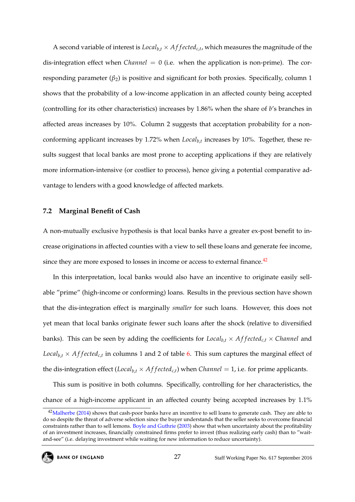A second variable of interest is  $Local_{b,t} \times Affected_{c,t}$ , which measures the magnitude of the dis-integration effect when *Channel* = 0 (i.e. when the application is non-prime). The corresponding parameter  $(\beta_2)$  is positive and significant for both proxies. Specifically, column 1 shows that the probability of a low-income application in an affected county being accepted (controlling for its other characteristics) increases by 1.86% when the share of *b*'s branches in affected areas increases by 10%. Column 2 suggests that acceptation probability for a nonconforming applicant increases by 1.72% when *Localb*,*<sup>t</sup>* increases by 10%. Together, these results suggest that local banks are most prone to accepting applications if they are relatively more information-intensive (or costlier to process), hence giving a potential comparative advantage to lenders with a good knowledge of affected markets.

#### **7.2 Marginal Benefit of Cash**

A non-mutually exclusive hypothesis is that local banks have a greater ex-post benefit to increase originations in affected counties with a view to sell these loans and generate fee income, since they are more exposed to losses in income or access to external finance.<sup>[42](#page--1-0)</sup>

In this interpretation, local banks would also have an incentive to originate easily sellable "prime" (high-income or conforming) loans. Results in the previous section have shown that the dis-integration effect is marginally *smaller* for such loans. However, this does not yet mean that local banks originate fewer such loans after the shock (relative to diversified banks). This can be seen by adding the coefficients for  $Local_{b,t} \times Affected_{c,t} \times Channel$  and *Local*<sub>*b*,*t*</sub>  $\times$  *Affected<sub>c,t</sub>* in columns 1 and 2 of table [6.](#page-51-0) This sum captures the marginal effect of the dis-integration effect (*Local*<sub>*b*,*t*</sub> × *Af f ected<sub><i>c*,*t*</sub>) when *Channel* = 1, i.e. for prime applicants.

This sum is positive in both columns. Specifically, controlling for her characteristics, the chance of a high-income applicant in an affected county being accepted increases by 1.1%

<sup>&</sup>lt;sup>42</sup>[Malherbe](#page-36-9) [\(2014\)](#page-36-9) shows that cash-poor banks have an incentive to sell loans to generate cash. They are able to do so despite the threat of adverse selection since the buyer understands that the seller seeks to overcome financial constraints rather than to sell lemons. [Boyle and Guthrie](#page-32-2) [\(2003\)](#page-32-2) show that when uncertainty about the profitability of an investment increases, financially constrained firms prefer to invest (thus realizing early cash) than to "waitand-see" (i.e. delaying investment while waiting for new information to reduce uncertainty).

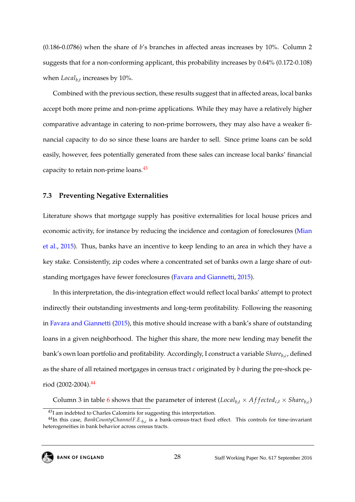(0.186-0.0786) when the share of *b*'s branches in affected areas increases by 10%. Column 2 suggests that for a non-conforming applicant, this probability increases by 0.64% (0.172-0.108) when *Localb*,*<sup>t</sup>* increases by 10%.

Combined with the previous section, these results suggest that in affected areas, local banks accept both more prime and non-prime applications. While they may have a relatively higher comparative advantage in catering to non-prime borrowers, they may also have a weaker financial capacity to do so since these loans are harder to sell. Since prime loans can be sold easily, however, fees potentially generated from these sales can increase local banks' financial capacity to retain non-prime loans. $43$ 

#### <span id="page-28-0"></span>**7.3 Preventing Negative Externalities**

Literature shows that mortgage supply has positive externalities for local house prices and economic activity, for instance by reducing the incidence and contagion of foreclosures [\(Mian](#page-36-10) [et al.,](#page-36-10) [2015\)](#page-36-10). Thus, banks have an incentive to keep lending to an area in which they have a key stake. Consistently, zip codes where a concentrated set of banks own a large share of outstanding mortgages have fewer foreclosures [\(Favara and Giannetti,](#page-34-1) [2015\)](#page-34-1).

In this interpretation, the dis-integration effect would reflect local banks' attempt to protect indirectly their outstanding investments and long-term profitability. Following the reasoning in [Favara and Giannetti](#page-34-1) [\(2015\)](#page-34-1), this motive should increase with a bank's share of outstanding loans in a given neighborhood. The higher this share, the more new lending may benefit the bank's own loan portfolio and profitability. Accordingly, I construct a variable *Shareb*,*<sup>c</sup>* , defined as the share of all retained mortgages in census tract *c* originated by *b* during the pre-shock period (2002-2004).[44](#page--1-0)

Column 3 in table [6](#page-51-0) shows that the parameter of interest (*Local<sub>b,t</sub>* × *Affected<sub>c,t</sub>* × *Share*<sub>*b*,*c*</sub>)

<sup>44</sup>In this case, *BankCountyChannelF*.*E*.*b*,*<sup>c</sup>* is a bank-census-tract fixed effect. This controls for time-invariant heterogeneities in bank behavior across census tracts.



<sup>&</sup>lt;sup>43</sup>I am indebted to Charles Calomiris for suggesting this interpretation.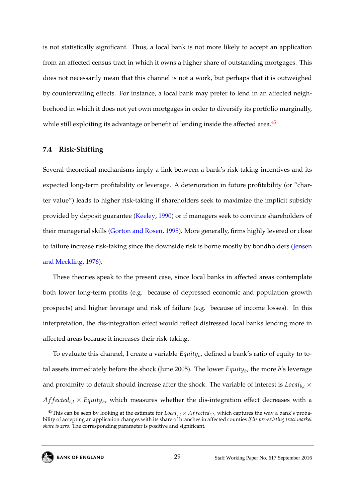is not statistically significant. Thus, a local bank is not more likely to accept an application from an affected census tract in which it owns a higher share of outstanding mortgages. This does not necessarily mean that this channel is not a work, but perhaps that it is outweighed by countervailing effects. For instance, a local bank may prefer to lend in an affected neighborhood in which it does not yet own mortgages in order to diversify its portfolio marginally, while still exploiting its advantage or benefit of lending inside the affected area.<sup>[45](#page--1-0)</sup>

#### <span id="page-29-0"></span>**7.4 Risk-Shifting**

Several theoretical mechanisms imply a link between a bank's risk-taking incentives and its expected long-term profitability or leverage. A deterioration in future profitability (or "charter value") leads to higher risk-taking if shareholders seek to maximize the implicit subsidy provided by deposit guarantee [\(Keeley,](#page-35-8) [1990\)](#page-35-8) or if managers seek to convince shareholders of their managerial skills [\(Gorton and Rosen,](#page-34-10) [1995\)](#page-34-10). More generally, firms highly levered or close to failure increase risk-taking since the downside risk is borne mostly by bondholders [\(Jensen](#page-35-9) [and Meckling,](#page-35-9) [1976\)](#page-35-9).

These theories speak to the present case, since local banks in affected areas contemplate both lower long-term profits (e.g. because of depressed economic and population growth prospects) and higher leverage and risk of failure (e.g. because of income losses). In this interpretation, the dis-integration effect would reflect distressed local banks lending more in affected areas because it increases their risk-taking.

To evaluate this channel, I create a variable *Equity<sub>b</sub>*, defined a bank's ratio of equity to total assets immediately before the shock (June 2005). The lower *Equity<sup>b</sup>* , the more *b*'s leverage and proximity to default should increase after the shock. The variable of interest is  $Local_{b,t}$   $\times$  $A f f e c t e d_{c,t} \times E q u i t y_b$ , which measures whether the dis-integration effect decreases with a

<sup>&</sup>lt;sup>45</sup>This can be seen by looking at the estimate for  $Local_{b,t} \times Affected_{c,t}$ , which captures the way a bank's probability of accepting an application changes with its share of branches in affected counties *if its pre-existing tract market share is zero*. The corresponding parameter is positive and significant.

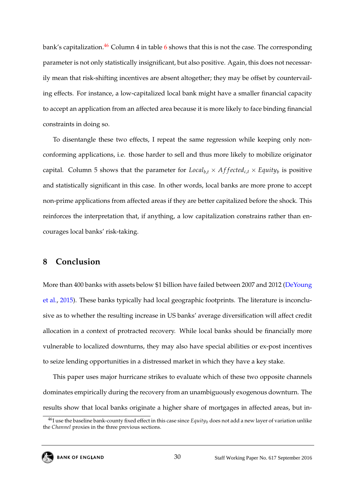bank's capitalization.<sup>[46](#page--1-0)</sup> Column 4 in table [6](#page-51-0) shows that this is not the case. The corresponding parameter is not only statistically insignificant, but also positive. Again, this does not necessarily mean that risk-shifting incentives are absent altogether; they may be offset by countervailing effects. For instance, a low-capitalized local bank might have a smaller financial capacity to accept an application from an affected area because it is more likely to face binding financial constraints in doing so.

To disentangle these two effects, I repeat the same regression while keeping only nonconforming applications, i.e. those harder to sell and thus more likely to mobilize originator capital. Column 5 shows that the parameter for  $Local_{b,t} \times Affected_{c,t} \times Equity_b$  is positive and statistically significant in this case. In other words, local banks are more prone to accept non-prime applications from affected areas if they are better capitalized before the shock. This reinforces the interpretation that, if anything, a low capitalization constrains rather than encourages local banks' risk-taking.

## **8 Conclusion**

More than 400 banks with assets below \$1 billion have failed between 2007 and 2012 [\(DeYoung](#page-33-3) [et al.,](#page-33-3) [2015\)](#page-33-3). These banks typically had local geographic footprints. The literature is inconclusive as to whether the resulting increase in US banks' average diversification will affect credit allocation in a context of protracted recovery. While local banks should be financially more vulnerable to localized downturns, they may also have special abilities or ex-post incentives to seize lending opportunities in a distressed market in which they have a key stake.

This paper uses major hurricane strikes to evaluate which of these two opposite channels dominates empirically during the recovery from an unambiguously exogenous downturn. The results show that local banks originate a higher share of mortgages in affected areas, but in-

 $^{46}$ I use the baseline bank-county fixed effect in this case since *Equity<sub>b</sub>* does not add a new layer of variation unlike the *Channel* proxies in the three previous sections.

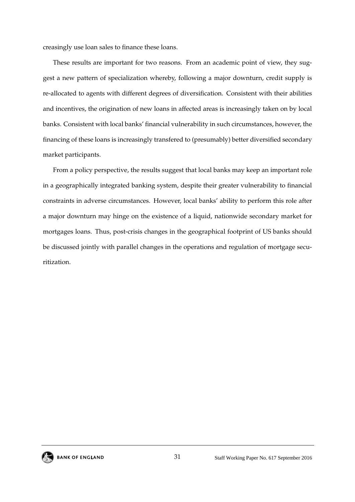creasingly use loan sales to finance these loans.

These results are important for two reasons. From an academic point of view, they suggest a new pattern of specialization whereby, following a major downturn, credit supply is re-allocated to agents with different degrees of diversification. Consistent with their abilities and incentives, the origination of new loans in affected areas is increasingly taken on by local banks. Consistent with local banks' financial vulnerability in such circumstances, however, the financing of these loans is increasingly transfered to (presumably) better diversified secondary market participants.

From a policy perspective, the results suggest that local banks may keep an important role in a geographically integrated banking system, despite their greater vulnerability to financial constraints in adverse circumstances. However, local banks' ability to perform this role after a major downturn may hinge on the existence of a liquid, nationwide secondary market for mortgages loans. Thus, post-crisis changes in the geographical footprint of US banks should be discussed jointly with parallel changes in the operations and regulation of mortgage securitization.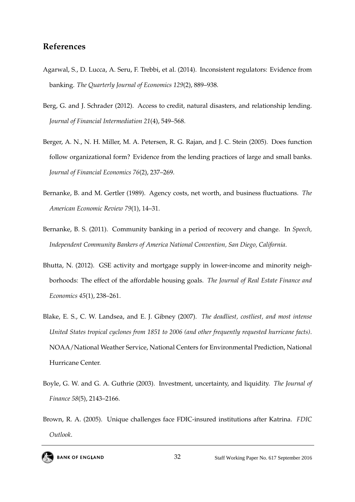## **References**

- <span id="page-32-8"></span>Agarwal, S., D. Lucca, A. Seru, F. Trebbi, et al. (2014). Inconsistent regulators: Evidence from banking. *The Quarterly Journal of Economics 129*(2), 889–938.
- <span id="page-32-4"></span>Berg, G. and J. Schrader (2012). Access to credit, natural disasters, and relationship lending. *Journal of Financial Intermediation 21*(4), 549–568.
- <span id="page-32-3"></span>Berger, A. N., N. H. Miller, M. A. Petersen, R. G. Rajan, and J. C. Stein (2005). Does function follow organizational form? Evidence from the lending practices of large and small banks. *Journal of Financial Economics 76*(2), 237–269.
- <span id="page-32-1"></span>Bernanke, B. and M. Gertler (1989). Agency costs, net worth, and business fluctuations. *The American Economic Review 79*(1), 14–31.
- <span id="page-32-0"></span>Bernanke, B. S. (2011). Community banking in a period of recovery and change. In *Speech, Independent Community Bankers of America National Convention, San Diego, California*.
- <span id="page-32-7"></span>Bhutta, N. (2012). GSE activity and mortgage supply in lower-income and minority neighborhoods: The effect of the affordable housing goals. *The Journal of Real Estate Finance and Economics 45*(1), 238–261.
- <span id="page-32-5"></span>Blake, E. S., C. W. Landsea, and E. J. Gibney (2007). *The deadliest, costliest, and most intense United States tropical cyclones from 1851 to 2006 (and other frequently requested hurricane facts)*. NOAA/National Weather Service, National Centers for Environmental Prediction, National Hurricane Center.
- <span id="page-32-2"></span>Boyle, G. W. and G. A. Guthrie (2003). Investment, uncertainty, and liquidity. *The Journal of Finance 58*(5), 2143–2166.
- <span id="page-32-6"></span>Brown, R. A. (2005). Unique challenges face FDIC-insured institutions after Katrina. *FDIC Outlook*.

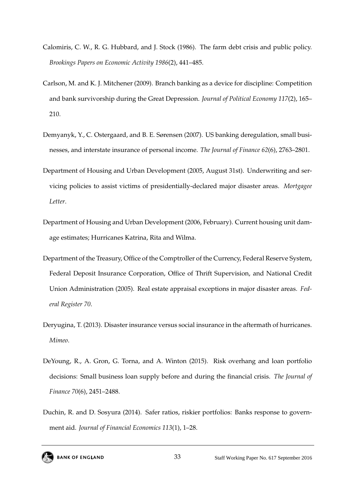- <span id="page-33-1"></span>Calomiris, C. W., R. G. Hubbard, and J. Stock (1986). The farm debt crisis and public policy. *Brookings Papers on Economic Activity 1986*(2), 441–485.
- <span id="page-33-0"></span>Carlson, M. and K. J. Mitchener (2009). Branch banking as a device for discipline: Competition and bank survivorship during the Great Depression. *Journal of Political Economy 117*(2), 165– 210.
- <span id="page-33-4"></span>Demyanyk, Y., C. Ostergaard, and B. E. Sørensen (2007). US banking deregulation, small businesses, and interstate insurance of personal income. *The Journal of Finance 62*(6), 2763–2801.
- <span id="page-33-7"></span>Department of Housing and Urban Development (2005, August 31st). Underwriting and servicing policies to assist victims of presidentially-declared major disaster areas. *Mortgagee Letter*.
- <span id="page-33-5"></span>Department of Housing and Urban Development (2006, February). Current housing unit damage estimates; Hurricanes Katrina, Rita and Wilma.
- <span id="page-33-6"></span>Department of the Treasury, Office of the Comptroller of the Currency, Federal Reserve System, Federal Deposit Insurance Corporation, Office of Thrift Supervision, and National Credit Union Administration (2005). Real estate appraisal exceptions in major disaster areas. *Federal Register 70*.
- <span id="page-33-2"></span>Deryugina, T. (2013). Disaster insurance versus social insurance in the aftermath of hurricanes. *Mimeo*.
- <span id="page-33-3"></span>DeYoung, R., A. Gron, G. Torna, and A. Winton (2015). Risk overhang and loan portfolio decisions: Small business loan supply before and during the financial crisis. *The Journal of Finance 70*(6), 2451–2488.
- <span id="page-33-8"></span>Duchin, R. and D. Sosyura (2014). Safer ratios, riskier portfolios: Banks response to government aid. *Journal of Financial Economics 113*(1), 1–28.

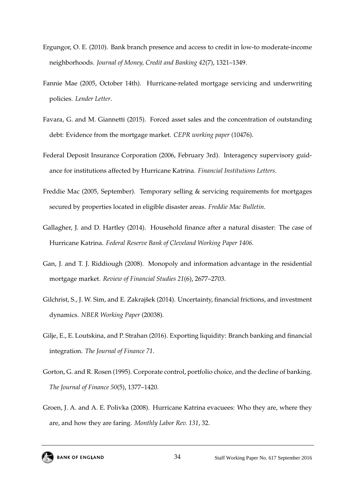- <span id="page-34-9"></span>Ergungor, O. E. (2010). Bank branch presence and access to credit in low-to moderate-income neighborhoods. *Journal of Money, Credit and Banking 42*(7), 1321–1349.
- <span id="page-34-4"></span>Fannie Mae (2005, October 14th). Hurricane-related mortgage servicing and underwriting policies. *Lender Letter*.
- <span id="page-34-1"></span>Favara, G. and M. Giannetti (2015). Forced asset sales and the concentration of outstanding debt: Evidence from the mortgage market. *CEPR working paper* (10476).
- <span id="page-34-8"></span>Federal Deposit Insurance Corporation (2006, February 3rd). Interagency supervisory guidance for institutions affected by Hurricane Katrina. *Financial Institutions Letters*.
- <span id="page-34-7"></span>Freddie Mac (2005, September). Temporary selling & servicing requirements for mortgages secured by properties located in eligible disaster areas. *Freddie Mac Bulletin*.
- <span id="page-34-2"></span>Gallagher, J. and D. Hartley (2014). Household finance after a natural disaster: The case of Hurricane Katrina. *Federal Reserve Bank of Cleveland Working Paper 1406*.
- <span id="page-34-5"></span>Gan, J. and T. J. Riddiough (2008). Monopoly and information advantage in the residential mortgage market. *Review of Financial Studies 21*(6), 2677–2703.
- <span id="page-34-0"></span>Gilchrist, S., J. W. Sim, and E. Zakrajšek (2014). Uncertainty, financial frictions, and investment dynamics. *NBER Working Paper* (20038).
- <span id="page-34-6"></span>Gilje, E., E. Loutskina, and P. Strahan (2016). Exporting liquidity: Branch banking and financial integration. *The Journal of Finance 71*.
- <span id="page-34-10"></span>Gorton, G. and R. Rosen (1995). Corporate control, portfolio choice, and the decline of banking. *The Journal of Finance 50*(5), 1377–1420.
- <span id="page-34-3"></span>Groen, J. A. and A. E. Polivka (2008). Hurricane Katrina evacuees: Who they are, where they are, and how they are faring. *Monthly Labor Rev. 131*, 32.

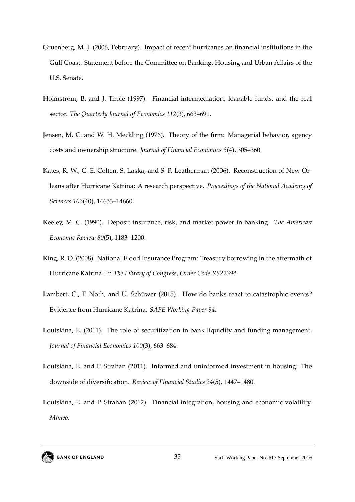- <span id="page-35-7"></span>Gruenberg, M. J. (2006, February). Impact of recent hurricanes on financial institutions in the Gulf Coast. Statement before the Committee on Banking, Housing and Urban Affairs of the U.S. Senate.
- <span id="page-35-0"></span>Holmstrom, B. and J. Tirole (1997). Financial intermediation, loanable funds, and the real sector. *The Quarterly Journal of Economics 112*(3), 663–691.
- <span id="page-35-9"></span>Jensen, M. C. and W. H. Meckling (1976). Theory of the firm: Managerial behavior, agency costs and ownership structure. *Journal of Financial Economics 3*(4), 305–360.
- <span id="page-35-2"></span>Kates, R. W., C. E. Colten, S. Laska, and S. P. Leatherman (2006). Reconstruction of New Orleans after Hurricane Katrina: A research perspective. *Proceedings of the National Academy of Sciences 103*(40), 14653–14660.
- <span id="page-35-8"></span>Keeley, M. C. (1990). Deposit insurance, risk, and market power in banking. *The American Economic Review 80*(5), 1183–1200.
- <span id="page-35-6"></span>King, R. O. (2008). National Flood Insurance Program: Treasury borrowing in the aftermath of Hurricane Katrina. In *The Library of Congress, Order Code RS22394*.
- <span id="page-35-5"></span>Lambert, C., F. Noth, and U. Schüwer (2015). How do banks react to catastrophic events? Evidence from Hurricane Katrina. *SAFE Working Paper 94*.
- <span id="page-35-3"></span>Loutskina, E. (2011). The role of securitization in bank liquidity and funding management. *Journal of Financial Economics 100*(3), 663–684.
- <span id="page-35-1"></span>Loutskina, E. and P. Strahan (2011). Informed and uninformed investment in housing: The downside of diversification. *Review of Financial Studies 24*(5), 1447–1480.
- <span id="page-35-4"></span>Loutskina, E. and P. Strahan (2012). Financial integration, housing and economic volatility. *Mimeo*.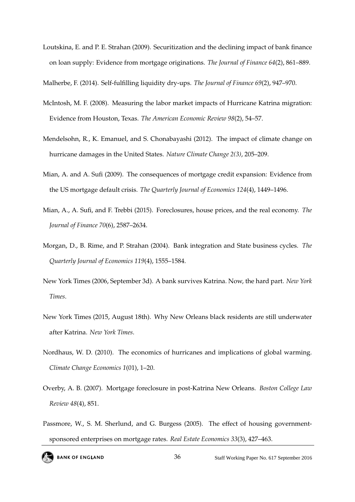<span id="page-36-1"></span>Loutskina, E. and P. E. Strahan (2009). Securitization and the declining impact of bank finance on loan supply: Evidence from mortgage originations. *The Journal of Finance 64*(2), 861–889.

<span id="page-36-11"></span><span id="page-36-9"></span>Malherbe, F. (2014). Self-fulfilling liquidity dry-ups. *The Journal of Finance 69*(2), 947–970.

- McIntosh, M. F. (2008). Measuring the labor market impacts of Hurricane Katrina migration: Evidence from Houston, Texas. *The American Economic Review 98*(2), 54–57.
- <span id="page-36-6"></span>Mendelsohn, R., K. Emanuel, and S. Chonabayashi (2012). The impact of climate change on hurricane damages in the United States. *Nature Climate Change 2(3)*, 205–209.
- <span id="page-36-7"></span>Mian, A. and A. Sufi (2009). The consequences of mortgage credit expansion: Evidence from the US mortgage default crisis. *The Quarterly Journal of Economics 124*(4), 1449–1496.
- <span id="page-36-10"></span>Mian, A., A. Sufi, and F. Trebbi (2015). Foreclosures, house prices, and the real economy. *The Journal of Finance 70*(6), 2587–2634.
- <span id="page-36-2"></span>Morgan, D., B. Rime, and P. Strahan (2004). Bank integration and State business cycles. *The Quarterly Journal of Economics 119*(4), 1555–1584.
- <span id="page-36-5"></span>New York Times (2006, September 3d). A bank survives Katrina. Now, the hard part. *New York Times*.
- <span id="page-36-4"></span>New York Times (2015, August 18th). Why New Orleans black residents are still underwater after Katrina. *New York Times*.
- <span id="page-36-0"></span>Nordhaus, W. D. (2010). The economics of hurricanes and implications of global warming. *Climate Change Economics 1*(01), 1–20.
- <span id="page-36-3"></span>Overby, A. B. (2007). Mortgage foreclosure in post-Katrina New Orleans. *Boston College Law Review 48*(4), 851.
- <span id="page-36-8"></span>Passmore, W., S. M. Sherlund, and G. Burgess (2005). The effect of housing governmentsponsored enterprises on mortgage rates. *Real Estate Economics 33*(3), 427–463.

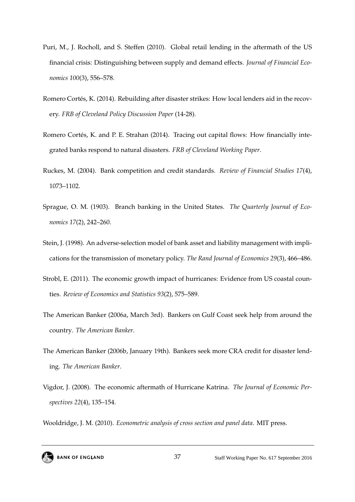- <span id="page-37-9"></span>Puri, M., J. Rocholl, and S. Steffen (2010). Global retail lending in the aftermath of the US financial crisis: Distinguishing between supply and demand effects. *Journal of Financial Economics 100*(3), 556–578.
- <span id="page-37-5"></span>Romero Cortés, K. (2014). Rebuilding after disaster strikes: How local lenders aid in the recovery. *FRB of Cleveland Policy Discussion Paper* (14-28).
- <span id="page-37-4"></span>Romero Cortés, K. and P. E. Strahan (2014). Tracing out capital flows: How financially integrated banks respond to natural disasters. *FRB of Cleveland Working Paper*.
- <span id="page-37-2"></span>Ruckes, M. (2004). Bank competition and credit standards. *Review of Financial Studies 17*(4), 1073–1102.
- <span id="page-37-0"></span>Sprague, O. M. (1903). Branch banking in the United States. *The Quarterly Journal of Economics 17*(2), 242–260.
- <span id="page-37-1"></span>Stein, J. (1998). An adverse-selection model of bank asset and liability management with implications for the transmission of monetary policy. *The Rand Journal of Economics 29*(3), 466–486.
- <span id="page-37-3"></span>Strobl, E. (2011). The economic growth impact of hurricanes: Evidence from US coastal counties. *Review of Economics and Statistics 93*(2), 575–589.
- <span id="page-37-6"></span>The American Banker (2006a, March 3rd). Bankers on Gulf Coast seek help from around the country. *The American Banker*.
- <span id="page-37-8"></span>The American Banker (2006b, January 19th). Bankers seek more CRA credit for disaster lending. *The American Banker*.
- <span id="page-37-7"></span>Vigdor, J. (2008). The economic aftermath of Hurricane Katrina. *The Journal of Economic Perspectives 22*(4), 135–154.

<span id="page-37-10"></span>Wooldridge, J. M. (2010). *Econometric analysis of cross section and panel data*. MIT press.

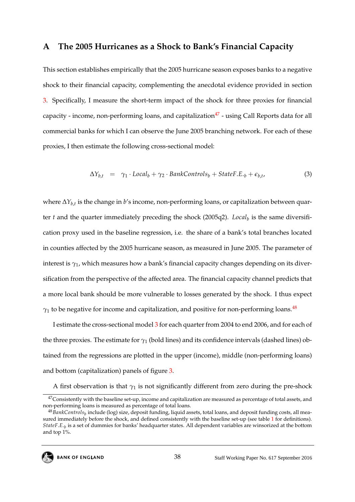## <span id="page-38-0"></span>**A The 2005 Hurricanes as a Shock to Bank's Financial Capacity**

This section establishes empirically that the 2005 hurricane season exposes banks to a negative shock to their financial capacity, complementing the anecdotal evidence provided in section [3.](#page-8-0) Specifically, I measure the short-term impact of the shock for three proxies for financial capacity - income, non-performing loans, and capitalization<sup>[47](#page--1-0)</sup> - using Call Reports data for all commercial banks for which I can observe the June 2005 branching network. For each of these proxies, I then estimate the following cross-sectional model:

<span id="page-38-1"></span>
$$
\Delta Y_{b,t} = \gamma_1 \cdot Local_b + \gamma_2 \cdot BankControls_b + StateF.E_{\cdot b} + \epsilon_{b,t}, \tag{3}
$$

where ∆*Yb*,*<sup>t</sup>* is the change in *b*'s income, non-performing loans, or capitalization between quarter *t* and the quarter immediately preceding the shock (2005q2). *Local<sup>b</sup>* is the same diversification proxy used in the baseline regression, i.e. the share of a bank's total branches located in counties affected by the 2005 hurricane season, as measured in June 2005. The parameter of interest is *γ*1, which measures how a bank's financial capacity changes depending on its diversification from the perspective of the affected area. The financial capacity channel predicts that a more local bank should be more vulnerable to losses generated by the shock. I thus expect  $\gamma_1$  to be negative for income and capitalization, and positive for non-performing loans.<sup>[48](#page--1-0)</sup>

I estimate the cross-sectional model [3](#page-38-1) for each quarter from 2004 to end 2006, and for each of the three proxies. The estimate for  $\gamma_1$  (bold lines) and its confidence intervals (dashed lines) obtained from the regressions are plotted in the upper (income), middle (non-performing loans) and bottom (capitalization) panels of figure [3.](#page-53-0)

A first observation is that  $\gamma_1$  is not significantly different from zero during the pre-shock

 $47$ Consistently with the baseline set-up, income and capitalization are measured as percentage of total assets, and non-performing loans is measured as percentage of total loans.

<sup>&</sup>lt;sup>48</sup>BankControls<sub>b</sub> include (log) size, deposit funding, liquid assets, total loans, and deposit funding costs, all measured immediately before the shock, and defined consistently with the baseline set-up (see table [1](#page-46-0) for definitions). *StateF*.*E*.*<sup>b</sup>* is a set of dummies for banks' headquarter states. All dependent variables are winsorized at the bottom and top 1%.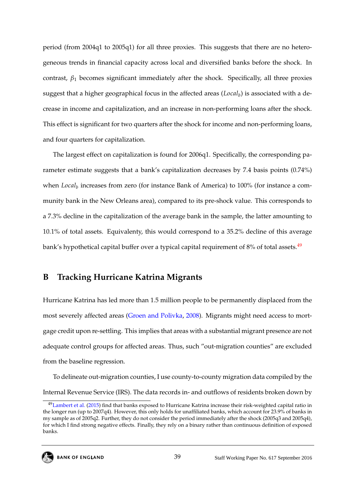<span id="page-39-1"></span>period (from 2004q1 to 2005q1) for all three proxies. This suggests that there are no heterogeneous trends in financial capacity across local and diversified banks before the shock. In contrast,  $\beta_1$  becomes significant immediately after the shock. Specifically, all three proxies suggest that a higher geographical focus in the affected areas (*Local<sup>b</sup>* ) is associated with a decrease in income and capitalization, and an increase in non-performing loans after the shock. This effect is significant for two quarters after the shock for income and non-performing loans, and four quarters for capitalization.

The largest effect on capitalization is found for 2006q1. Specifically, the corresponding parameter estimate suggests that a bank's capitalization decreases by 7.4 basis points (0.74%) when *Local<sup>b</sup>* increases from zero (for instance Bank of America) to 100% (for instance a community bank in the New Orleans area), compared to its pre-shock value. This corresponds to a 7.3% decline in the capitalization of the average bank in the sample, the latter amounting to 10.1% of total assets. Equivalenty, this would correspond to a 35.2% decline of this average bank's hypothetical capital buffer over a typical capital requirement of 8% of total assets.<sup>[49](#page--1-0)</sup>

## <span id="page-39-0"></span>**B Tracking Hurricane Katrina Migrants**

Hurricane Katrina has led more than 1.5 million people to be permanently displaced from the most severely affected areas [\(Groen and Polivka,](#page-34-3) [2008\)](#page-34-3). Migrants might need access to mortgage credit upon re-settling. This implies that areas with a substantial migrant presence are not adequate control groups for affected areas. Thus, such "out-migration counties" are excluded from the baseline regression.

To delineate out-migration counties, I use county-to-county migration data compiled by the Internal Revenue Service (IRS). The data records in- and outflows of residents broken down by

<sup>&</sup>lt;sup>49</sup>[Lambert et al.](#page-35-5) [\(2015\)](#page-35-5) find that banks exposed to Hurricane Katrina increase their risk-weighted capital ratio in the longer run (up to 2007q4). However, this only holds for unaffiliated banks, which account for 23.9% of banks in my sample as of 2005q2. Further, they do not consider the period immediately after the shock (2005q3 and 2005q4), for which I find strong negative effects. Finally, they rely on a binary rather than continuous definition of exposed banks.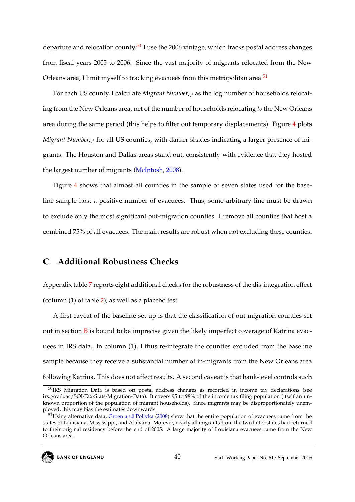departure and relocation county.<sup>[50](#page--1-0)</sup> I use the 2006 vintage, which tracks postal address changes from fiscal years 2005 to 2006. Since the vast majority of migrants relocated from the New Orleans area, I limit myself to tracking evacuees from this metropolitan area.<sup>[51](#page--1-0)</sup>

For each US county, I calculate *Migrant Number<sub>c,t</sub>* as the log number of households relocating from the New Orleans area, net of the number of households relocating *to* the New Orleans area during the same period (this helps to filter out temporary displacements). Figure [4](#page-54-0) plots *Migrant Number<sub>c,t</sub>* for all US counties, with darker shades indicating a larger presence of migrants. The Houston and Dallas areas stand out, consistently with evidence that they hosted the largest number of migrants [\(McIntosh,](#page-36-11) [2008\)](#page-36-11).

Figure [4](#page-54-0) shows that almost all counties in the sample of seven states used for the baseline sample host a positive number of evacuees. Thus, some arbitrary line must be drawn to exclude only the most significant out-migration counties. I remove all counties that host a combined 75% of all evacuees. The main results are robust when not excluding these counties.

## <span id="page-40-0"></span>**C Additional Robustness Checks**

Appendix table [7](#page-55-0) reports eight additional checks for the robustness of the dis-integration effect (column (1) of table [2\)](#page-47-0), as well as a placebo test.

A first caveat of the baseline set-up is that the classification of out-migration counties set out in section  $\overline{B}$  $\overline{B}$  $\overline{B}$  is bound to be imprecise given the likely imperfect coverage of Katrina evacuees in IRS data. In column (1), I thus re-integrate the counties excluded from the baseline sample because they receive a substantial number of in-migrants from the New Orleans area following Katrina. This does not affect results. A second caveat is that bank-level controls such

<sup>50</sup>IRS Migration Data is based on postal address changes as recorded in income tax declarations (see irs.gov/uac/SOI-Tax-Stats-Migration-Data). It covers 95 to 98% of the income tax filing population (itself an unknown proportion of the population of migrant households). Since migrants may be disproportionately unemployed, this may bias the estimates downwards.

<sup>&</sup>lt;sup>51</sup>Using alternative data, [Groen and Polivka](#page-34-3) [\(2008\)](#page-34-3) show that the entire population of evacuees came from the states of Louisiana, Mississippi, and Alabama. Morever, nearly all migrants from the two latter states had returned to their original residency before the end of 2005. A large majority of Louisiana evacuees came from the New Orleans area.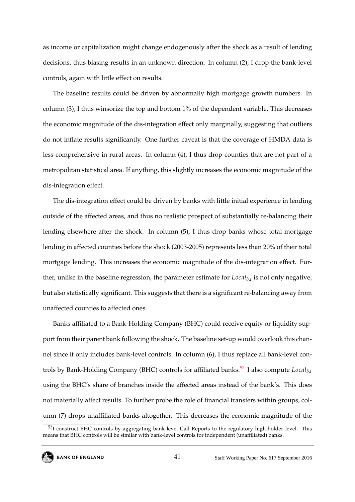as income or capitalization might change endogenously after the shock as a result of lending decisions, thus biasing results in an unknown direction. In column (2), I drop the bank-level controls, again with little effect on results.

The baseline results could be driven by abnormally high mortgage growth numbers. In column (3), I thus winsorize the top and bottom 1% of the dependent variable. This decreases the economic magnitude of the dis-integration effect only marginally, suggesting that outliers do not inflate results significantly. One further caveat is that the coverage of HMDA data is less comprehensive in rural areas. In column (4), I thus drop counties that are not part of a metropolitan statistical area. If anything, this slightly increases the economic magnitude of the dis-integration effect.

The dis-integration effect could be driven by banks with little initial experience in lending outside of the affected areas, and thus no realistic prospect of substantially re-balancing their lending elsewhere after the shock. In column (5), I thus drop banks whose total mortgage lending in affected counties before the shock (2003-2005) represents less than 20% of their total mortgage lending. This increases the economic magnitude of the dis-integration effect. Further, unlike in the baseline regression, the parameter estimate for *Localb*,*<sup>t</sup>* is not only negative, but also statistically significant. This suggests that there is a significant re-balancing away from unaffected counties to affected ones.

Banks affiliated to a Bank-Holding Company (BHC) could receive equity or liquidity support from their parent bank following the shock. The baseline set-up would overlook this channel since it only includes bank-level controls. In column (6), I thus replace all bank-level con-trols by Bank-Holding Company (BHC) controls for affiliated banks.<sup>[52](#page--1-0)</sup> I also compute  $Local_{b,t}$ using the BHC's share of branches inside the affected areas instead of the bank's. This does not materially affect results. To further probe the role of financial transfers within groups, column (7) drops unaffiliated banks altogether. This decreases the economic magnitude of the

<sup>&</sup>lt;sup>52</sup>I construct BHC controls by aggregating bank-level Call Reports to the regulatory high-holder level. This means that BHC controls will be similar with bank-level controls for independent (unaffiliated) banks.

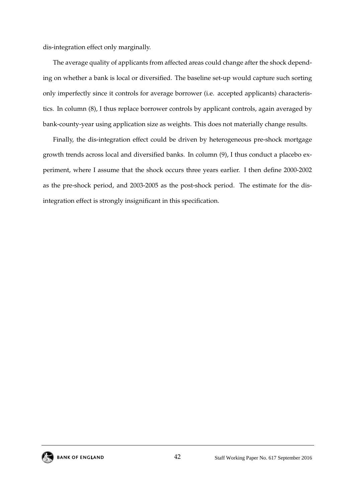dis-integration effect only marginally.

The average quality of applicants from affected areas could change after the shock depending on whether a bank is local or diversified. The baseline set-up would capture such sorting only imperfectly since it controls for average borrower (i.e. accepted applicants) characteristics. In column (8), I thus replace borrower controls by applicant controls, again averaged by bank-county-year using application size as weights. This does not materially change results.

Finally, the dis-integration effect could be driven by heterogeneous pre-shock mortgage growth trends across local and diversified banks. In column (9), I thus conduct a placebo experiment, where I assume that the shock occurs three years earlier. I then define 2000-2002 as the pre-shock period, and 2003-2005 as the post-shock period. The estimate for the disintegration effect is strongly insignificant in this specification.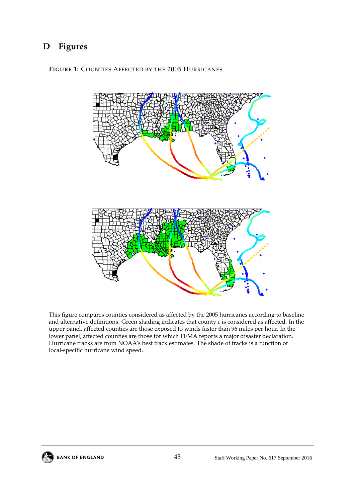## **D Figures**

<span id="page-43-0"></span>**FIGURE 1:** COUNTIES AFFECTED BY THE 2005 HURRICANES



This figure compares counties considered as affected by the 2005 hurricanes according to baseline and alternative definitions. Green shading indicates that county *c* is considered as affected. In the upper panel, affected counties are those exposed to winds faster than 96 miles per hour. In the lower panel, affected counties are those for which FEMA reports a major disaster declaration. Hurricane tracks are from NOAA's best track estimates. The shade of tracks is a function of local-specific hurricane wind speed.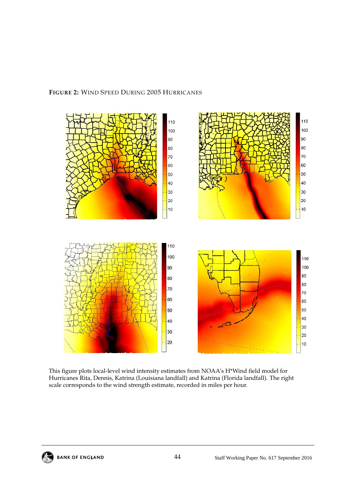#### <span id="page-44-0"></span>**FIGURE 2:** WIND SPEED DURING 2005 HURRICANES



This figure plots local-level wind intensity estimates from NOAA's H\*Wind field model for Hurricanes Rita, Dennis, Katrina (Louisiana landfall) and Katrina (Florida landfall). The right scale corresponds to the wind strength estimate, recorded in miles per hour.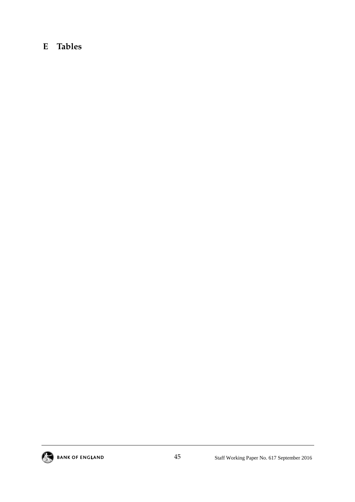## **E Tables**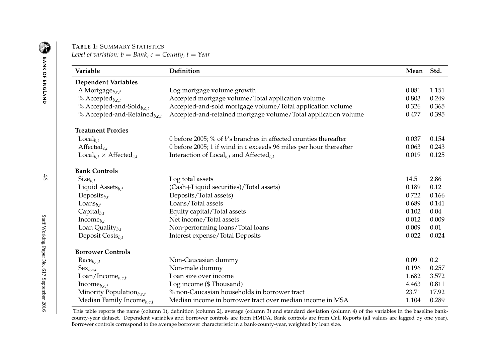## **TABLE 1:** <sup>S</sup>UMMARY <sup>S</sup>TATISTICS

*Level of variation: b* <sup>=</sup> *Bank, <sup>c</sup>* <sup>=</sup> *County, <sup>t</sup>* <sup>=</sup> *Year*

| Variable                                          | Definition                                                             | Mean  | Std.  |
|---------------------------------------------------|------------------------------------------------------------------------|-------|-------|
| <b>Dependent Variables</b>                        |                                                                        |       |       |
| $\Delta$ Mortgage <sub>b,c,t</sub>                | Log mortgage volume growth                                             | 0.081 | 1.151 |
| % Accepted <sub>b,c,t</sub>                       | Accepted mortgage volume/Total application volume                      | 0.803 | 0.249 |
| % Accepted-and-Sold <sub>b.c.t</sub>              | Accepted-and-sold mortgage volume/Total application volume             | 0.326 | 0.365 |
| % Accepted-and-Retained <sub>b.c.t</sub>          | Accepted-and-retained mortgage volume/Total application volume         | 0.477 | 0.395 |
| <b>Treatment Proxies</b>                          |                                                                        |       |       |
| $Local_{b.t}$                                     | 0 before 2005; % of $b$ 's branches in affected counties thereafter    | 0.037 | 0.154 |
| Affected $_{c.t.}$                                | 0 before 2005; 1 if wind in $c$ exceeds 96 miles per hour thereafter   | 0.063 | 0.243 |
| $\text{Local}_{b.t} \times \text{Affected}_{c.t}$ | Interaction of $Local_{b,t}$ and Affected <sub><i>c</i>,<i>t</i></sub> | 0.019 | 0.125 |
| <b>Bank Controls</b>                              |                                                                        |       |       |
| $Size_{b,t}$                                      | Log total assets                                                       | 14.51 | 2.86  |
| Liquid Assets $_{b,t}$                            | (Cash+Liquid securities)/Total assets)                                 | 0.189 | 0.12  |
| Deposits $_{b,t}$                                 | Deposits/Total assets)                                                 | 0.722 | 0.166 |
| Loans $_{b,t}$                                    | Loans/Total assets                                                     | 0.689 | 0.141 |
| $Capital_{b,t}$                                   | Equity capital/Total assets                                            | 0.102 | 0.04  |
| Income $_{b,t}$                                   | Net income/Total assets                                                | 0.012 | 0.009 |
| Loan Quality $_{b,t}$                             | Non-performing loans/Total loans                                       | 0.009 | 0.01  |
| Deposit $\text{Costs}_{b,t}$                      | Interest expense/Total Deposits                                        | 0.022 | 0.024 |
| <b>Borrower Controls</b>                          |                                                                        |       |       |
| $\text{Race}_{b,c,t}$                             | Non-Caucasian dummy                                                    | 0.091 | 0.2   |
| $\text{Sex}_{b,c,t}$                              | Non-male dummy                                                         | 0.196 | 0.257 |
| $\text{Loan}/\text{Income}_{b,c,t}$               | Loan size over income                                                  | 1.682 | 3.572 |
| Income $_{b,c,t}$                                 | Log income (\$ Thousand)                                               | 4.463 | 0.811 |
| Minority Population $_{b,c,t}$                    | % non-Caucasian households in borrower tract                           | 23.71 | 17.92 |
| Median Family Income $_{b,c,t}$                   | Median income in borrower tract over median income in MSA              | 1.104 | 0.289 |

<span id="page-46-0"></span>This table reports the name (column 1), definition (column 2), average (column 3) and standard deviation (column 4) of the variables in the baseline bankcounty-year dataset. Dependent variables and borrower controls are from HMDA. Bank controls are from Call Reports (all values are lagged by one year). Borrower controls correspond to the average borrower characteristic in <sup>a</sup> bank-county-year, weighted by loan size.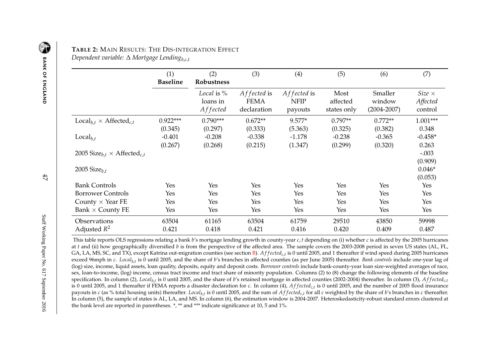## **TABLE 2:** <sup>M</sup>AIN <sup>R</sup>ESULTS: <sup>T</sup>HE <sup>D</sup>IS-INTEGRATION <sup>E</sup>FFECT

*Dependent variable:* <sup>∆</sup> *Mortgage Lending<sup>b</sup>*,*c*,*<sup>t</sup>*

|                                                           | (1)<br><b>Baseline</b> | (2)<br>Robustness                    | (3)                                       | (4)                                   | (5)                             | (6)                                  | (7)                                  |
|-----------------------------------------------------------|------------------------|--------------------------------------|-------------------------------------------|---------------------------------------|---------------------------------|--------------------------------------|--------------------------------------|
|                                                           |                        | Local is $%$<br>loans in<br>Affected | Affected is<br><b>FEMA</b><br>declaration | Affected is<br><b>NFIP</b><br>payouts | Most<br>affected<br>states only | Smaller<br>window<br>$(2004 - 2007)$ | $Size \times$<br>Affected<br>control |
| $\text{Local}_{b.t} \times \text{Affected}_{c.t}$         | $0.922***$             | $0.790***$                           | $0.672**$                                 | $9.577*$                              | $0.797**$                       | $0.772**$                            | $1.001***$                           |
|                                                           | (0.345)                | (0.297)                              | (0.333)                                   | (5.363)                               | (0.325)                         | (0.382)                              | 0.348                                |
| $Local_{b,t}$                                             | $-0.401$               | $-0.208$                             | $-0.338$                                  | $-1.178$                              | $-0.238$                        | $-0.365$                             | $-0.458*$                            |
|                                                           | (0.267)                | (0.268)                              | (0.215)                                   | (1.347)                               | (0.299)                         | (0.320)                              | 0.263                                |
| 2005 Size <sub>b.t</sub> $\times$ Affected <sub>c,t</sub> |                        |                                      |                                           |                                       |                                 |                                      | $-.003$                              |
| 2005 Size $_{b.t}$                                        |                        |                                      |                                           |                                       |                                 |                                      | (0.909)<br>$0.046*$<br>(0.053)       |
| <b>Bank Controls</b>                                      | Yes                    | Yes                                  | Yes                                       | Yes                                   | Yes                             | Yes                                  | Yes                                  |
| <b>Borrower Controls</b>                                  | Yes                    | Yes                                  | Yes                                       | <b>Yes</b>                            | Yes                             | Yes                                  | Yes                                  |
| County $\times$ Year FE                                   | Yes                    | Yes                                  | Yes                                       | <b>Yes</b>                            | Yes                             | Yes                                  | Yes                                  |
| Bank $\times$ County FE                                   | Yes                    | Yes                                  | Yes                                       | Yes                                   | Yes                             | Yes                                  | Yes                                  |
| Observations<br>Adjusted $R^2$                            | 63504<br>0.421         | 61165<br>0.418                       | 63504<br>0.421                            | 61759<br>0.416                        | 29510<br>0.420                  | 43850<br>0.409                       | 59998<br>0.487                       |

<span id="page-47-0"></span>This table reports OLS regressions relating <sup>a</sup> bank *<sup>b</sup>*'s mortgage lending growth in county-year *<sup>c</sup>*, *<sup>t</sup>* depending on (i) whether *<sup>c</sup>* is affected by the <sup>2005</sup> hurricanes at *t* and (ii) how geographically diversified *<sup>b</sup>* is from the perspective of the affected area. The sample covers the 2003-2008 period in seven US states (AL, FL, GA, LA, MS, SC, and TX), except Katrina out-migration counties (see section [B\)](#page-39-1).  $Affected_{c,t}$  is 0 until 2005, and 1 thereafter if wind speed during 2005 hurricanes exceed 96mph in *<sup>c</sup>*. *Localb*,*<sup>t</sup>* is <sup>0</sup> until 2005, and the share of *<sup>b</sup>*'s branches in affected counties (as per June 2005) thereafter. *Bank controls* include one-year lag of (log) size, income, liquid assets, loan quality, deposits, equity and deposit costs. *Borrower controls* include bank-county-year loan size-weighted averages of race, sex, loan-to-income, (log) income, census tract income and tract share of minority population. Columns (2) to (8) change the following elements of the baselinespecification. In column (2), Local<sub>b,t</sub> is 0 until 2005, and the share of b's retained mortgage in affected counties (2002-2004) thereafter. In column (3), Affected<sub>c,t</sub> is 0 until 2005, and 1 thereafter if FEMA reports a disaster declaration for  $c$ . In column (4),  $Affected_{c,t}$  is 0 until 2005, and the number of 2005 flood insurance payouts in c (as % total housing units) thereafter. Local<sub>b,t</sub> is 0 until 2005, and the sum of  $Affected_{c,t}$  for all c weighted by the share of b's branches in c thereafter. In column (5), the sample of states is AL, LA, and MS. In column (6), the estimation window is 2004-2007. Heteroskedasticity-robust standard errors clustered atthe bank level are reported in parentheses. \*, \*\* and \*\*\* indicate significance at 10, 5 and 1%.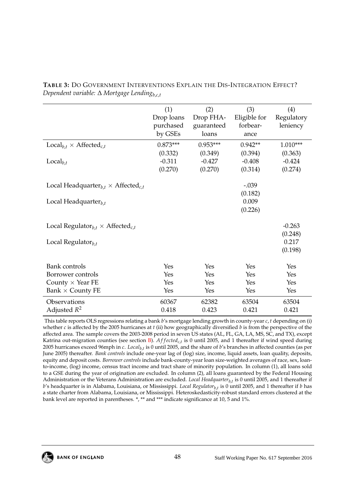|                                                                   | (1)        | (2)        | (3)              | (4)        |
|-------------------------------------------------------------------|------------|------------|------------------|------------|
|                                                                   | Drop loans | Drop FHA-  | Eligible for     | Regulatory |
|                                                                   | purchased  | guaranteed | forbear-         | leniency   |
|                                                                   | by GSEs    | loans      | ance             |            |
| $\text{Local}_{b,t} \times \text{Affected}_{c,t}$                 | $0.873***$ | $0.953***$ | $0.942**$        | $1.010***$ |
|                                                                   | (0.332)    | (0.349)    | (0.394)          | (0.363)    |
| $Local_{b.t}$                                                     | $-0.311$   | $-0.427$   | $-0.408$         | $-0.424$   |
|                                                                   | (0.270)    | (0.270)    | (0.314)          | (0.274)    |
|                                                                   |            |            | $-.039$          |            |
| Local Headquarter <sub>b,t</sub> $\times$ Affected <sub>c,t</sub> |            |            |                  |            |
|                                                                   |            |            | (0.182)<br>0.009 |            |
| Local Headquarter $_{b,t}$                                        |            |            |                  |            |
|                                                                   |            |            | (0.226)          |            |
| Local Regulator <sub>b.t</sub> $\times$ Affected <sub>c,t</sub>   |            |            |                  | $-0.263$   |
|                                                                   |            |            |                  | (0.248)    |
| Local Regulator $_{b.t}$                                          |            |            |                  | 0.217      |
|                                                                   |            |            |                  | (0.198)    |
|                                                                   |            |            |                  |            |
| <b>Bank</b> controls                                              | Yes        | Yes        | Yes              | Yes        |
| Borrower controls                                                 | Yes        | Yes        | Yes              | Yes        |
| County $\times$ Year FE                                           | Yes        | Yes        | Yes              | Yes        |
| Bank $\times$ County FE                                           | Yes        | Yes        | Yes              | Yes        |
| Observations                                                      | 60367      | 62382      | 63504            | 63504      |
| Adjusted $R^2$                                                    | 0.418      | 0.423      | 0.421            | 0.421      |

<span id="page-48-0"></span>**TABLE 3:** DO GOVERNMENT INTERVENTIONS EXPLAIN THE DIS-INTEGRATION EFFECT? *Dependent variable:* ∆ *Mortgage Lendingb*,*c*,*<sup>t</sup>*

This table reports OLS regressions relating a bank *b*'s mortgage lending growth in county-year *c*, *t* depending on (i) whether *c* is affected by the 2005 hurricanes at *t* (ii) how geographically diversified *b* is from the perspective of the affected area. The sample covers the 2003-2008 period in seven US states (AL, FL, GA, LA, MS, SC, and TX), except Katrina out-migration counties (see section [B\)](#page-39-0). *A f f ectedc*,*<sup>t</sup>* is 0 until 2005, and 1 thereafter if wind speed during 2005 hurricanes exceed 96mph in *c*. *Localb*,*<sup>t</sup>* is 0 until 2005, and the share of *b*'s branches in affected counties (as per June 2005) thereafter. *Bank controls* include one-year lag of (log) size, income, liquid assets, loan quality, deposits, equity and deposit costs. *Borrower controls* include bank-county-year loan size-weighted averages of race, sex, loanto-income, (log) income, census tract income and tract share of minority population. In column (1), all loans sold to a GSE during the year of origination are excluded. In column (2), all loans guaranteed by the Federal Housing Administration or the Veterans Administration are excluded. *Local Headquarterb*,*<sup>t</sup>* is 0 until 2005, and 1 thereafter if *b*'s headquarter is in Alabama, Louisiana, or Mississippi. *Local Regulatorb*,*<sup>t</sup>* is 0 until 2005, and 1 thereafter if *b* has a state charter from Alabama, Louisiana, or Mississippi. Heteroskedasticity-robust standard errors clustered at the bank level are reported in parentheses. \*, \*\* and \*\*\* indicate significance at 10, 5 and 1%.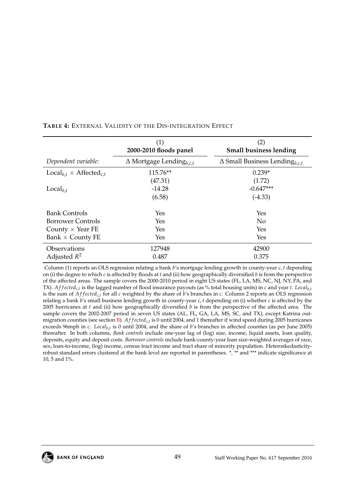|                                                   | (1)<br>2000-2010 floods panel              | (2)<br><b>Small business lending</b>             |
|---------------------------------------------------|--------------------------------------------|--------------------------------------------------|
| Dependent variable:                               | $\Delta$ Mortgage Lending <sub>b,c,t</sub> | $\Delta$ Small Business Lending <sub>b,c,t</sub> |
| $\text{Local}_{b,t} \times \text{Affected}_{c,t}$ | 115.76**                                   | $0.239*$                                         |
|                                                   | (47.31)                                    | (1.72)                                           |
| $Local_{h,t}$                                     | $-14.28$                                   | $-0.647***$                                      |
|                                                   | (6.58)                                     | $(-4.33)$                                        |
| <b>Bank Controls</b>                              | Yes                                        | Yes                                              |
| <b>Borrower Controls</b>                          | Yes                                        | No                                               |
| County $\times$ Year FE                           | Yes                                        | <b>Yes</b>                                       |
| Bank $\times$ County FE                           | Yes                                        | Yes                                              |
| Observations                                      | 127948                                     | 42900                                            |
| Adjusted $R^2$                                    | 0.487                                      | 0.375                                            |

#### <span id="page-49-0"></span>**TABLE 4:** EXTERNAL VALIDITY OF THE DIS-INTEGRATION EFFECT

Column (1) reports an OLS regression relating a bank *b*'s mortgage lending growth in county-year *c*, *t* depending on (i) the degree to which *c* is affected by floods at *t* and (ii) how geographically diversified *b* is from the perspective of the affected areas. The sample covers the 2000-2010 period in eight US states (FL, LA, MS, NC, NJ, NY, PA, and TX). *Af f ected<sub>c,t</sub>* is the lagged number of flood insurance payouts (as % total housing units) in *c* and year *t*. *Local<sub>b,t</sub>* is the sum of *Affected<sub>c,t</sub>* for all *c* weighted by the share of *b*'s branches in *c*. Column 2 reports an OLS regression relating a bank *b*'s small business lending growth in county-year *c*, *t* depending on (i) whether *c* is affected by the 2005 hurricanes at *t* and (ii) how geographically diversified *b* is from the perspective of the affected area. The sample covers the 2002-2007 period in seven US states (AL, FL, GA, LA, MS, SC, and TX), except Katrina outmigration counties (see section [B\)](#page-39-0). *A f f ectedc*,*<sup>t</sup>* is 0 until 2004, and 1 thereafter if wind speed during 2005 hurricanes exceeds 96mph in *c*. *Localb*,*<sup>t</sup>* is 0 until 2004, and the share of *b*'s branches in affected counties (as per June 2005) thereafter. In both columns, *Bank controls* include one-year lag of (log) size, income, liquid assets, loan quality, deposits, equity and deposit costs. *Borrower controls* include bank-county-year loan size-weighted averages of race, sex, loan-to-income, (log) income, census tract income and tract share of minority population. Heteroskedasticityrobust standard errors clustered at the bank level are reported in parentheses. \*, \*\* and \*\*\* indicate significance at 10, 5 and 1%.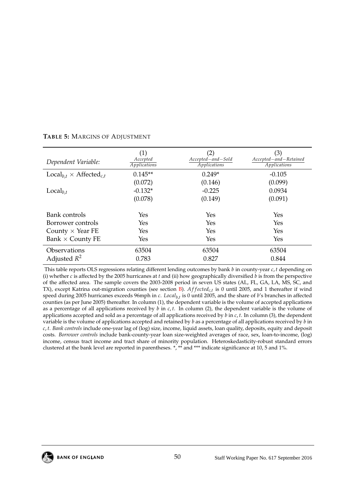| Dependent Variable:                               | (1)<br>Accepted<br>Applications | (2)<br>Accepted-and-Sold<br>Applications | (3)<br>Accepted-and-Retained<br>Applications |
|---------------------------------------------------|---------------------------------|------------------------------------------|----------------------------------------------|
| $\text{Local}_{h,t} \times \text{Affected}_{c,t}$ | $0.145**$                       | $0.249*$                                 | $-0.105$                                     |
|                                                   | (0.072)                         | (0.146)                                  | (0.099)                                      |
| $Local_{b.t}$                                     | $-0.132*$                       | $-0.225$                                 | 0.0934                                       |
|                                                   | (0.078)                         | (0.149)                                  | (0.091)                                      |
|                                                   |                                 |                                          |                                              |
| Bank controls                                     | Yes                             | Yes                                      | Yes                                          |
| Borrower controls                                 | Yes                             | Yes                                      | Yes                                          |
| County $\times$ Year FE                           | Yes                             | Yes                                      | Yes                                          |
| Bank $\times$ County FE                           | Yes                             | Yes                                      | Yes                                          |
| <b>Observations</b>                               | 63504                           | 63504                                    | 63504                                        |
| Adjusted $R^2$                                    | 0.783                           | 0.827                                    | 0.844                                        |

#### <span id="page-50-0"></span>**TABLE 5:** MARGINS OF ADJUSTMENT

This table reports OLS regressions relating different lending outcomes by bank *b* in county-year *c*, *t* depending on (i) whether *c* is affected by the 2005 hurricanes at *t* and (ii) how geographically diversified *b* is from the perspective of the affected area. The sample covers the 2003-2008 period in seven US states (AL, FL, GA, LA, MS, SC, and TX), except Katrina out-migration counties (see section [B\)](#page-39-0). *A f f ectedc*,*<sup>t</sup>* is 0 until 2005, and 1 thereafter if wind speed during 2005 hurricanes exceeds 96mph in *c*. *Localb*,*<sup>t</sup>* is 0 until 2005, and the share of *b*'s branches in affected counties (as per June 2005) thereafter. In column (1), the dependent variable is the volume of accepted applications as a percentage of all applications received by *b* in *c*, *t*. In column (2), the dependent variable is the volume of applications accepted and sold as a percentage of all applications received by *b* in *c*, *t*. In column (3), the dependent variable is the volume of applications accepted and retained by *b* as a percentage of all applications received by *b* in *c*, *t*. *Bank controls* include one-year lag of (log) size, income, liquid assets, loan quality, deposits, equity and deposit costs. *Borrower controls* include bank-county-year loan size-weighted averages of race, sex, loan-to-income, (log) income, census tract income and tract share of minority population. Heteroskedasticity-robust standard errors clustered at the bank level are reported in parentheses. \*, \*\* and \*\*\* indicate significance at 10, 5 and 1%.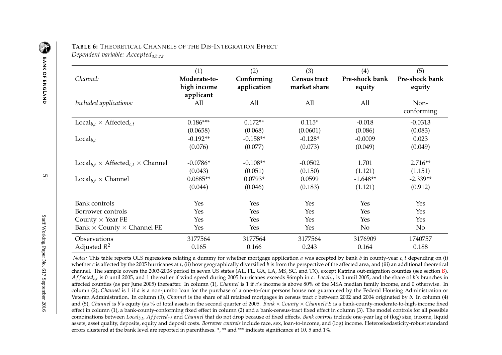| Channel:                                                                | (1)<br>Moderate-to-<br>high income<br>applicant | (2)<br>Conforming<br>application | (3)<br><b>Census tract</b><br>market share | (4)<br>Pre-shock bank<br>equity | (5)<br>Pre-shock bank<br>equity |
|-------------------------------------------------------------------------|-------------------------------------------------|----------------------------------|--------------------------------------------|---------------------------------|---------------------------------|
| Included applications:                                                  | All                                             | All                              | All                                        | All                             | Non-<br>conforming              |
| $\text{Local}_{b.t} \times \text{Affected}_{c.t}$                       | $0.186***$                                      | $0.172**$                        | $0.115*$                                   | $-0.018$                        | $-0.0313$                       |
|                                                                         | (0.0658)                                        | (0.068)                          | (0.0601)                                   | (0.086)                         | (0.083)                         |
| $Local_{b.t}$                                                           | $-0.192**$                                      | $-0.158**$                       | $-0.128*$                                  | $-0.0009$                       | 0.023                           |
|                                                                         | (0.076)                                         | (0.077)                          | (0.073)                                    | (0.049)                         | (0.049)                         |
| $\text{Local}_{b,t} \times \text{Affected}_{c,t} \times \text{Channel}$ | $-0.0786*$                                      | $-0.108**$                       | $-0.0502$                                  | 1.701                           | $2.716**$                       |
| $Local_{h,t} \times Channel$                                            | (0.043)<br>$0.0885**$                           | (0.051)<br>$0.0793*$             | (0.150)<br>0.0599                          | (1.121)<br>$-1.648**$           | (1.151)<br>$-2.339**$           |
|                                                                         | (0.044)                                         | (0.046)                          | (0.183)                                    | (1.121)                         | (0.912)                         |
| <b>Bank</b> controls                                                    | Yes                                             | Yes                              | Yes                                        | Yes                             | Yes                             |
| Borrower controls                                                       | Yes                                             | Yes                              | Yes                                        | Yes                             | Yes                             |
| County $\times$ Year FE                                                 | Yes                                             | Yes                              | Yes                                        | Yes                             | Yes                             |
| Bank $\times$ County $\times$ Channel FE                                | Yes                                             | Yes                              | Yes                                        | N <sub>o</sub>                  | No                              |
| Observations                                                            | 3177564                                         | 3177564                          | 3177564                                    | 3176909                         | 1740757                         |
| Adjusted $R^2$                                                          | 0.165                                           | 0.166                            | 0.243                                      | 0.164                           | 0.188                           |

**TABLE 6:** <sup>T</sup>HEORETICAL <sup>C</sup>HANNELS OF THE <sup>D</sup>IS-INTEGRATION <sup>E</sup>FFECT *Dependent variable: Accepted<sup>a</sup>*,*b*,*c*,*<sup>t</sup>*

<span id="page-51-0"></span>*Notes:* This table reports OLS regressions relating <sup>a</sup> dummy for whether mortgage application *<sup>a</sup>* was accepted by bank *<sup>b</sup>* in county-year *<sup>c</sup>*, *<sup>t</sup>* depending on (i) whether *<sup>c</sup>* is affected by the <sup>2005</sup> hurricanes at *<sup>t</sup>*, (ii) how geographically diversified *<sup>b</sup>* is from the perspective of the affected area, and (iii) an additional theoretical channel. The sample covers the 2003-2008 period in seven US states (AL, FL, GA, LA, MS, SC, and TX), excep<sup>t</sup> Katrina out-migration counties (see section [B\)](#page-39-1).  $Affected_{c,t}$  is 0 until 2005, and 1 thereafter if wind speed during 2005 hurricanes exceeds 96mph in c. Local<sub>b,t</sub> is 0 until 2005, and the share of b's branches in affected counties (as per June 2005) thereafter. In column (1), *Channel* is <sup>1</sup> if *<sup>a</sup>*'s income is above 80% of the MSA median family income, and <sup>0</sup> otherwise. In column (2), *Channel* is <sup>1</sup> if *<sup>a</sup>* is <sup>a</sup> non-jumbo loan for the purchase of <sup>a</sup> one-to-four persons house not guaranteed by the Federal Housing Administration or Veteran Administration. In column (3), *Channel* is the share of all retained mortgages in census tract *<sup>c</sup>* between <sup>2002</sup> and <sup>2004</sup> originated by *<sup>b</sup>*. In column (4) and (5), *Channel* is *<sup>b</sup>*'s equity (as % of total assets in the second quarter of 2005. *Bank* <sup>×</sup> *County* <sup>×</sup> *ChannelFE* is <sup>a</sup> bank-county-moderate-to-high-income fixed effect in column (1), <sup>a</sup> bank-county-conforming fixed effect in column (2) and <sup>a</sup> bank-census-tract fixed effect in column (3). The model controls for all possiblecombinations between Local<sub>b,t</sub>, Affected<sub>c,t</sub> and Channel that do not drop because of fixed effects. Bank controls include one-year lag of (log) size, income, liquid assets, asset quality, deposits, equity and deposit costs. *Borrower controls* include race, sex, loan-to-income, and (log) income. Heteroskedasticity-robust standarderrors clustered at the bank level are reported in parentheses. \*, \*\* and \*\*\* indicate significance at 10, 5 and 1%.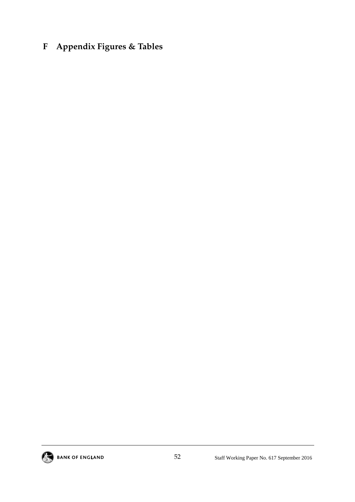## **F Appendix Figures & Tables**

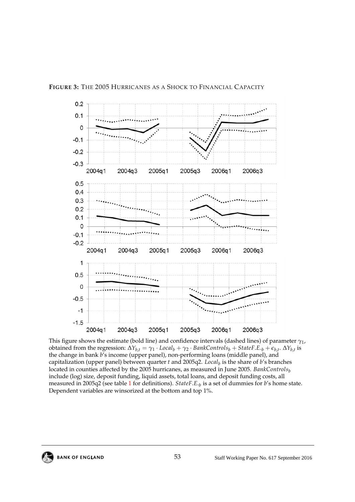<span id="page-53-0"></span>

This figure shows the estimate (bold line) and confidence intervals (dashed lines) of parameter *γ*1, obtained from the regression:  $\Delta Y_{b,t} = \gamma_1 \cdot Local_b + \gamma_2 \cdot BankControls_b + StateF.E._b + \epsilon_{b,t} \cdot \Delta Y_{b,t}$  is the change in bank *b*'s income (upper panel), non-performing loans (middle panel), and capitalization (upper panel) between quarter *t* and 2005q2. *Local<sup>b</sup>* is the share of *b*'s branches located in counties affected by the 2005 hurricanes, as measured in June 2005. *BankControls<sub>b</sub>* include (log) size, deposit funding, liquid assets, total loans, and deposit funding costs, all measured in 2005q2 (see table [1](#page-46-0) for definitions). *StateF*.*E*.*<sup>b</sup>* is a set of dummies for *b*'s home state. Dependent variables are winsorized at the bottom and top 1%.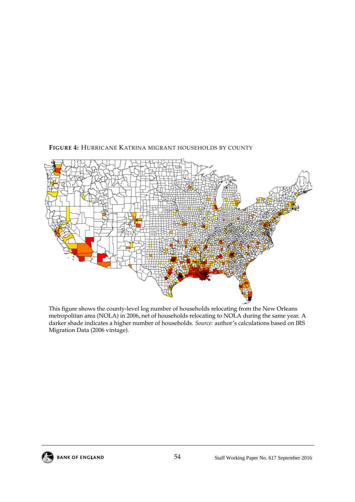

<span id="page-54-0"></span>**FIGURE 4:** HURRICANE KATRINA MIGRANT HOUSEHOLDS BY COUNTY

This figure shows the county-level log number of households relocating from the New Orleans metropolitan area (NOLA) in 2006, net of households relocating to NOLA during the same year. A darker shade indicates a higher number of households. *Source:* author's calculations based on IRS Migration Data (2006 vintage).